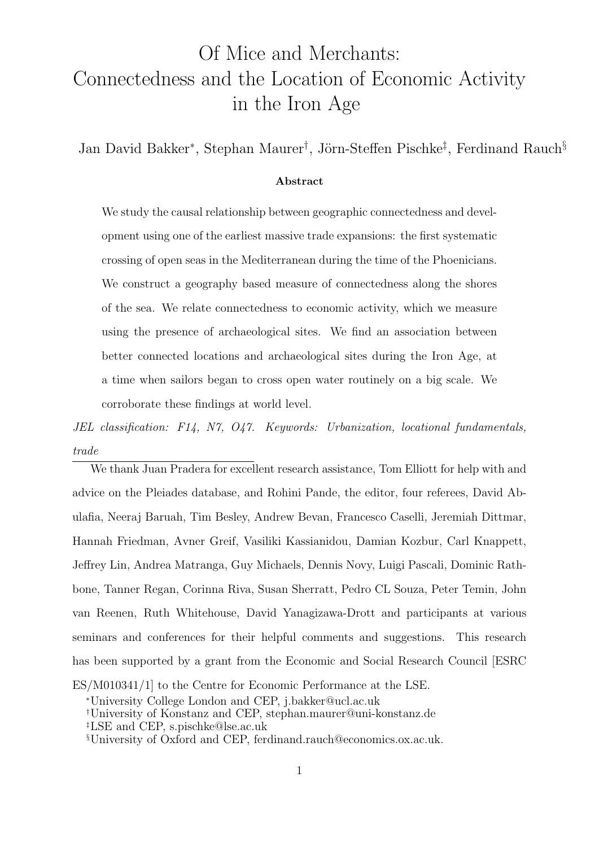## <span id="page-0-0"></span>Of Mice and Merchants: Connectedness and the Location of Economic Activity in the Iron Age

Jan David Bakker<sup>\*</sup>, Stephan Maurer<sup>†</sup>, Jörn-Steffen Pischke<sup>‡</sup>, Ferdinand Rauch<sup>§</sup>

#### Abstract

We study the causal relationship between geographic connectedness and development using one of the earliest massive trade expansions: the first systematic crossing of open seas in the Mediterranean during the time of the Phoenicians. We construct a geography based measure of connectedness along the shores of the sea. We relate connectedness to economic activity, which we measure using the presence of archaeological sites. We find an association between better connected locations and archaeological sites during the Iron Age, at a time when sailors began to cross open water routinely on a big scale. We corroborate these findings at world level.

JEL classification: F14, N7, O47. Keywords: Urbanization, locational fundamentals, trade

We thank Juan Pradera for excellent research assistance, Tom Elliott for help with and advice on the Pleiades database, and Rohini Pande, the editor, four referees, David Abulafia, Neeraj Baruah, Tim Besley, Andrew Bevan, Francesco Caselli, Jeremiah Dittmar, Hannah Friedman, Avner Greif, Vasiliki Kassianidou, Damian Kozbur, Carl Knappett, Jeffrey Lin, Andrea Matranga, Guy Michaels, Dennis Novy, Luigi Pascali, Dominic Rathbone, Tanner Regan, Corinna Riva, Susan Sherratt, Pedro CL Souza, Peter Temin, John van Reenen, Ruth Whitehouse, David Yanagizawa-Drott and participants at various seminars and conferences for their helpful comments and suggestions. This research has been supported by a grant from the Economic and Social Research Council [ESRC ES/M010341/1] to the Centre for Economic Performance at the LSE.

<sup>∗</sup>University College London and CEP, j.bakker@ucl.ac.uk

<sup>†</sup>University of Konstanz and CEP, stephan.maurer@uni-konstanz.de

<sup>‡</sup>LSE and CEP, s.pischke@lse.ac.uk

<sup>§</sup>University of Oxford and CEP, ferdinand.rauch@economics.ox.ac.uk.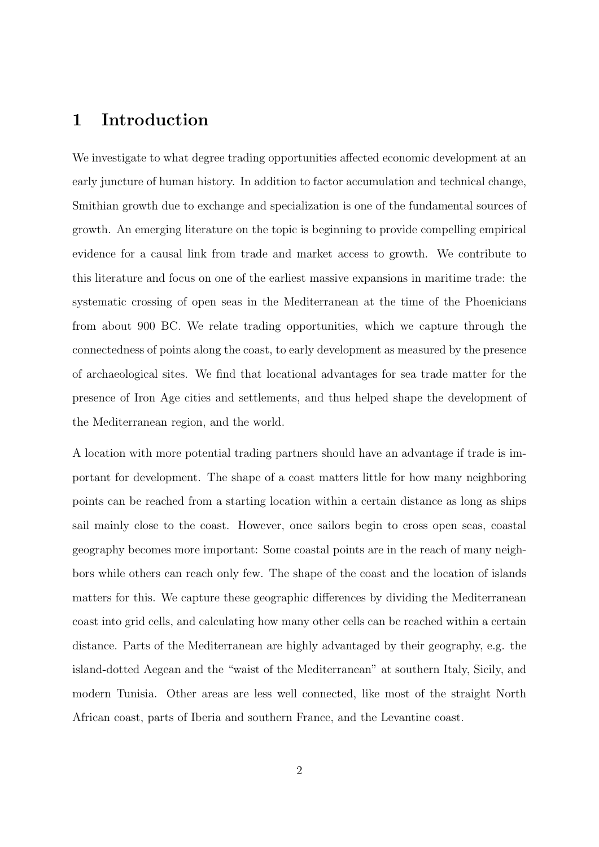### 1 Introduction

We investigate to what degree trading opportunities affected economic development at an early juncture of human history. In addition to factor accumulation and technical change, Smithian growth due to exchange and specialization is one of the fundamental sources of growth. An emerging literature on the topic is beginning to provide compelling empirical evidence for a causal link from trade and market access to growth. We contribute to this literature and focus on one of the earliest massive expansions in maritime trade: the systematic crossing of open seas in the Mediterranean at the time of the Phoenicians from about 900 BC. We relate trading opportunities, which we capture through the connectedness of points along the coast, to early development as measured by the presence of archaeological sites. We find that locational advantages for sea trade matter for the presence of Iron Age cities and settlements, and thus helped shape the development of the Mediterranean region, and the world.

A location with more potential trading partners should have an advantage if trade is important for development. The shape of a coast matters little for how many neighboring points can be reached from a starting location within a certain distance as long as ships sail mainly close to the coast. However, once sailors begin to cross open seas, coastal geography becomes more important: Some coastal points are in the reach of many neighbors while others can reach only few. The shape of the coast and the location of islands matters for this. We capture these geographic differences by dividing the Mediterranean coast into grid cells, and calculating how many other cells can be reached within a certain distance. Parts of the Mediterranean are highly advantaged by their geography, e.g. the island-dotted Aegean and the "waist of the Mediterranean" at southern Italy, Sicily, and modern Tunisia. Other areas are less well connected, like most of the straight North African coast, parts of Iberia and southern France, and the Levantine coast.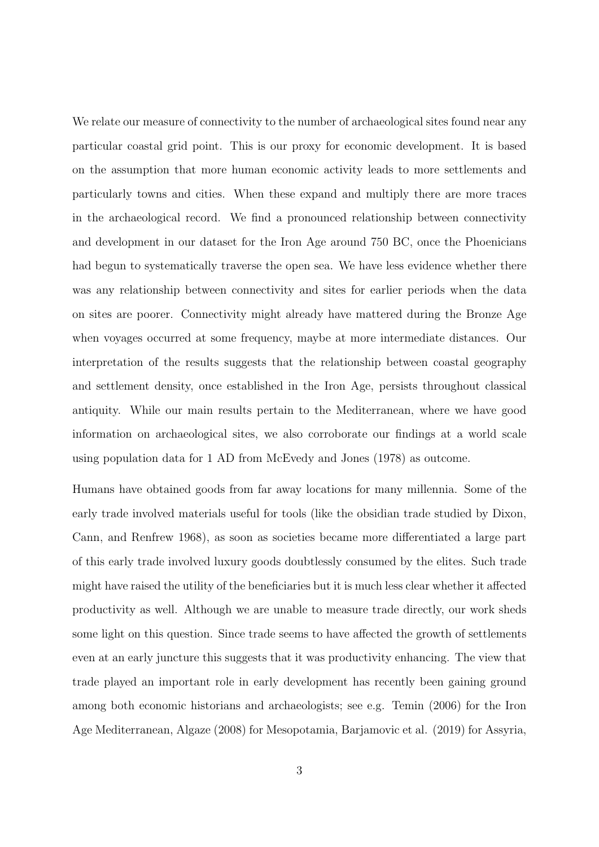We relate our measure of connectivity to the number of archaeological sites found near any particular coastal grid point. This is our proxy for economic development. It is based on the assumption that more human economic activity leads to more settlements and particularly towns and cities. When these expand and multiply there are more traces in the archaeological record. We find a pronounced relationship between connectivity and development in our dataset for the Iron Age around 750 BC, once the Phoenicians had begun to systematically traverse the open sea. We have less evidence whether there was any relationship between connectivity and sites for earlier periods when the data on sites are poorer. Connectivity might already have mattered during the Bronze Age when voyages occurred at some frequency, maybe at more intermediate distances. Our interpretation of the results suggests that the relationship between coastal geography and settlement density, once established in the Iron Age, persists throughout classical antiquity. While our main results pertain to the Mediterranean, where we have good information on archaeological sites, we also corroborate our findings at a world scale using population data for 1 AD from McEvedy and Jones (1978) as outcome.

Humans have obtained goods from far away locations for many millennia. Some of the early trade involved materials useful for tools (like the obsidian trade studied by Dixon, Cann, and Renfrew 1968), as soon as societies became more differentiated a large part of this early trade involved luxury goods doubtlessly consumed by the elites. Such trade might have raised the utility of the beneficiaries but it is much less clear whether it affected productivity as well. Although we are unable to measure trade directly, our work sheds some light on this question. Since trade seems to have affected the growth of settlements even at an early juncture this suggests that it was productivity enhancing. The view that trade played an important role in early development has recently been gaining ground among both economic historians and archaeologists; see e.g. Temin (2006) for the Iron Age Mediterranean, Algaze (2008) for Mesopotamia, Barjamovic et al. (2019) for Assyria,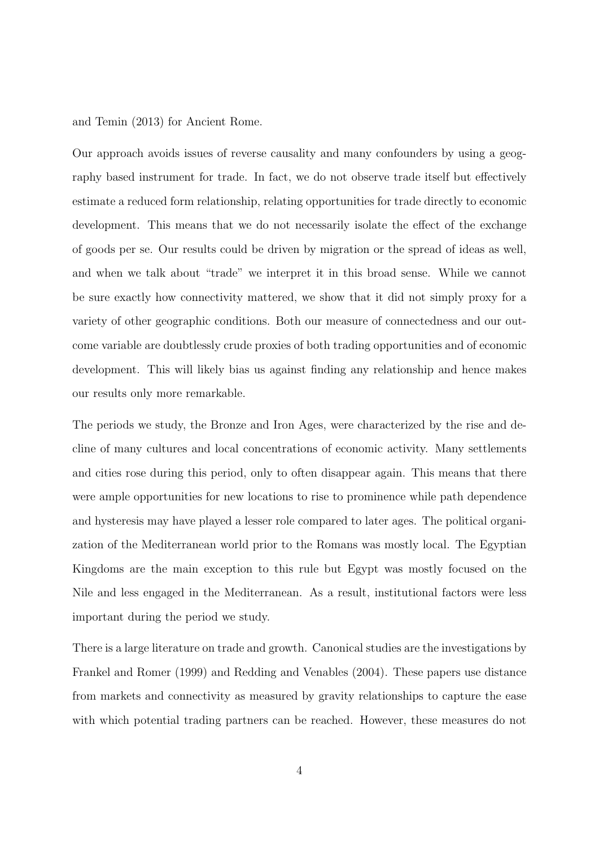and Temin (2013) for Ancient Rome.

Our approach avoids issues of reverse causality and many confounders by using a geography based instrument for trade. In fact, we do not observe trade itself but effectively estimate a reduced form relationship, relating opportunities for trade directly to economic development. This means that we do not necessarily isolate the effect of the exchange of goods per se. Our results could be driven by migration or the spread of ideas as well, and when we talk about "trade" we interpret it in this broad sense. While we cannot be sure exactly how connectivity mattered, we show that it did not simply proxy for a variety of other geographic conditions. Both our measure of connectedness and our outcome variable are doubtlessly crude proxies of both trading opportunities and of economic development. This will likely bias us against finding any relationship and hence makes our results only more remarkable.

The periods we study, the Bronze and Iron Ages, were characterized by the rise and decline of many cultures and local concentrations of economic activity. Many settlements and cities rose during this period, only to often disappear again. This means that there were ample opportunities for new locations to rise to prominence while path dependence and hysteresis may have played a lesser role compared to later ages. The political organization of the Mediterranean world prior to the Romans was mostly local. The Egyptian Kingdoms are the main exception to this rule but Egypt was mostly focused on the Nile and less engaged in the Mediterranean. As a result, institutional factors were less important during the period we study.

There is a large literature on trade and growth. Canonical studies are the investigations by Frankel and Romer (1999) and Redding and Venables (2004). These papers use distance from markets and connectivity as measured by gravity relationships to capture the ease with which potential trading partners can be reached. However, these measures do not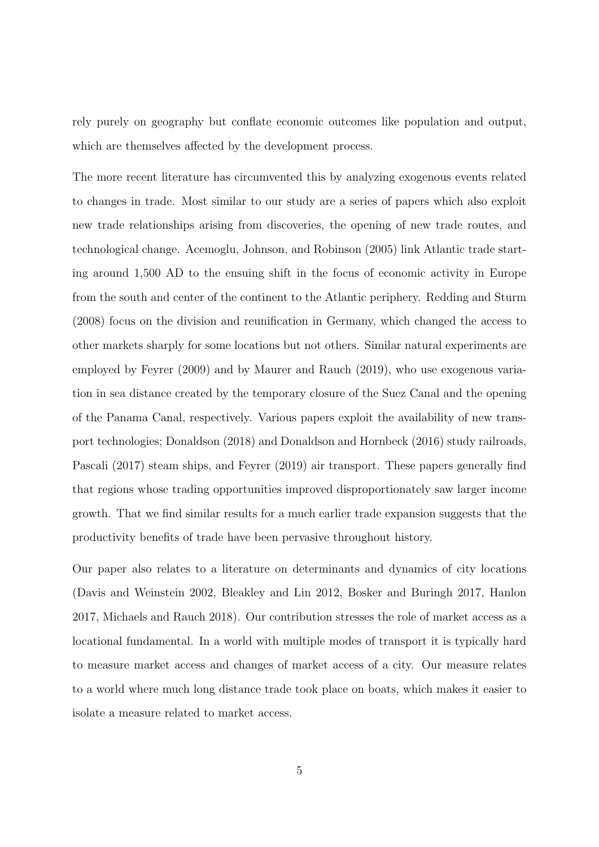rely purely on geography but conflate economic outcomes like population and output, which are themselves affected by the development process.

The more recent literature has circumvented this by analyzing exogenous events related to changes in trade. Most similar to our study are a series of papers which also exploit new trade relationships arising from discoveries, the opening of new trade routes, and technological change. Acemoglu, Johnson, and Robinson (2005) link Atlantic trade starting around 1,500 AD to the ensuing shift in the focus of economic activity in Europe from the south and center of the continent to the Atlantic periphery. Redding and Sturm (2008) focus on the division and reunification in Germany, which changed the access to other markets sharply for some locations but not others. Similar natural experiments are employed by Feyrer (2009) and by Maurer and Rauch (2019), who use exogenous variation in sea distance created by the temporary closure of the Suez Canal and the opening of the Panama Canal, respectively. Various papers exploit the availability of new transport technologies; Donaldson (2018) and Donaldson and Hornbeck (2016) study railroads, Pascali (2017) steam ships, and Feyrer (2019) air transport. These papers generally find that regions whose trading opportunities improved disproportionately saw larger income growth. That we find similar results for a much earlier trade expansion suggests that the productivity benefits of trade have been pervasive throughout history.

Our paper also relates to a literature on determinants and dynamics of city locations (Davis and Weinstein 2002, Bleakley and Lin 2012, Bosker and Buringh 2017, Hanlon 2017, Michaels and Rauch 2018). Our contribution stresses the role of market access as a locational fundamental. In a world with multiple modes of transport it is typically hard to measure market access and changes of market access of a city. Our measure relates to a world where much long distance trade took place on boats, which makes it easier to isolate a measure related to market access.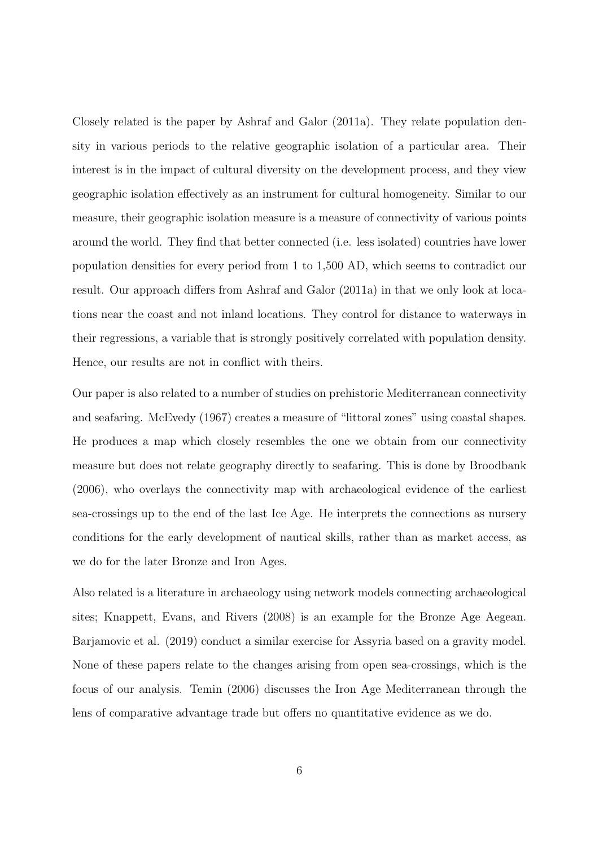Closely related is the paper by Ashraf and Galor (2011a). They relate population density in various periods to the relative geographic isolation of a particular area. Their interest is in the impact of cultural diversity on the development process, and they view geographic isolation effectively as an instrument for cultural homogeneity. Similar to our measure, their geographic isolation measure is a measure of connectivity of various points around the world. They find that better connected (i.e. less isolated) countries have lower population densities for every period from 1 to 1,500 AD, which seems to contradict our result. Our approach differs from Ashraf and Galor (2011a) in that we only look at locations near the coast and not inland locations. They control for distance to waterways in their regressions, a variable that is strongly positively correlated with population density. Hence, our results are not in conflict with theirs.

Our paper is also related to a number of studies on prehistoric Mediterranean connectivity and seafaring. McEvedy (1967) creates a measure of "littoral zones" using coastal shapes. He produces a map which closely resembles the one we obtain from our connectivity measure but does not relate geography directly to seafaring. This is done by Broodbank (2006), who overlays the connectivity map with archaeological evidence of the earliest sea-crossings up to the end of the last Ice Age. He interprets the connections as nursery conditions for the early development of nautical skills, rather than as market access, as we do for the later Bronze and Iron Ages.

Also related is a literature in archaeology using network models connecting archaeological sites; Knappett, Evans, and Rivers (2008) is an example for the Bronze Age Aegean. Barjamovic et al. (2019) conduct a similar exercise for Assyria based on a gravity model. None of these papers relate to the changes arising from open sea-crossings, which is the focus of our analysis. Temin (2006) discusses the Iron Age Mediterranean through the lens of comparative advantage trade but offers no quantitative evidence as we do.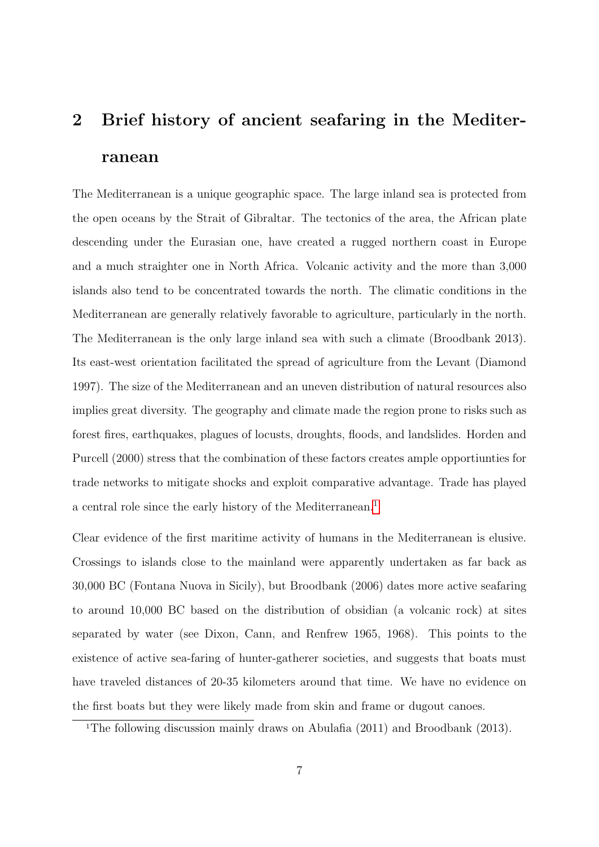# 2 Brief history of ancient seafaring in the Mediterranean

The Mediterranean is a unique geographic space. The large inland sea is protected from the open oceans by the Strait of Gibraltar. The tectonics of the area, the African plate descending under the Eurasian one, have created a rugged northern coast in Europe and a much straighter one in North Africa. Volcanic activity and the more than 3,000 islands also tend to be concentrated towards the north. The climatic conditions in the Mediterranean are generally relatively favorable to agriculture, particularly in the north. The Mediterranean is the only large inland sea with such a climate (Broodbank 2013). Its east-west orientation facilitated the spread of agriculture from the Levant (Diamond 1997). The size of the Mediterranean and an uneven distribution of natural resources also implies great diversity. The geography and climate made the region prone to risks such as forest fires, earthquakes, plagues of locusts, droughts, floods, and landslides. Horden and Purcell (2000) stress that the combination of these factors creates ample opportiunties for trade networks to mitigate shocks and exploit comparative advantage. Trade has played a central role since the early history of the Mediterranean.<sup>[1](#page-6-0)</sup>

Clear evidence of the first maritime activity of humans in the Mediterranean is elusive. Crossings to islands close to the mainland were apparently undertaken as far back as 30,000 BC (Fontana Nuova in Sicily), but Broodbank (2006) dates more active seafaring to around 10,000 BC based on the distribution of obsidian (a volcanic rock) at sites separated by water (see Dixon, Cann, and Renfrew 1965, 1968). This points to the existence of active sea-faring of hunter-gatherer societies, and suggests that boats must have traveled distances of 20-35 kilometers around that time. We have no evidence on the first boats but they were likely made from skin and frame or dugout canoes.

<span id="page-6-0"></span><sup>&</sup>lt;sup>1</sup>The following discussion mainly draws on Abulafia (2011) and Broodbank (2013).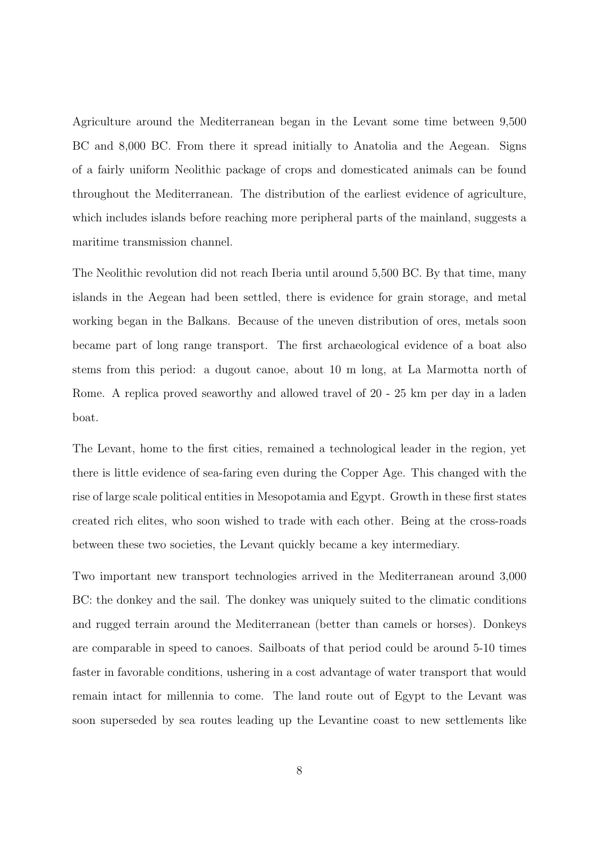Agriculture around the Mediterranean began in the Levant some time between 9,500 BC and 8,000 BC. From there it spread initially to Anatolia and the Aegean. Signs of a fairly uniform Neolithic package of crops and domesticated animals can be found throughout the Mediterranean. The distribution of the earliest evidence of agriculture, which includes islands before reaching more peripheral parts of the mainland, suggests a maritime transmission channel.

The Neolithic revolution did not reach Iberia until around 5,500 BC. By that time, many islands in the Aegean had been settled, there is evidence for grain storage, and metal working began in the Balkans. Because of the uneven distribution of ores, metals soon became part of long range transport. The first archaeological evidence of a boat also stems from this period: a dugout canoe, about 10 m long, at La Marmotta north of Rome. A replica proved seaworthy and allowed travel of 20 - 25 km per day in a laden boat.

The Levant, home to the first cities, remained a technological leader in the region, yet there is little evidence of sea-faring even during the Copper Age. This changed with the rise of large scale political entities in Mesopotamia and Egypt. Growth in these first states created rich elites, who soon wished to trade with each other. Being at the cross-roads between these two societies, the Levant quickly became a key intermediary.

Two important new transport technologies arrived in the Mediterranean around 3,000 BC: the donkey and the sail. The donkey was uniquely suited to the climatic conditions and rugged terrain around the Mediterranean (better than camels or horses). Donkeys are comparable in speed to canoes. Sailboats of that period could be around 5-10 times faster in favorable conditions, ushering in a cost advantage of water transport that would remain intact for millennia to come. The land route out of Egypt to the Levant was soon superseded by sea routes leading up the Levantine coast to new settlements like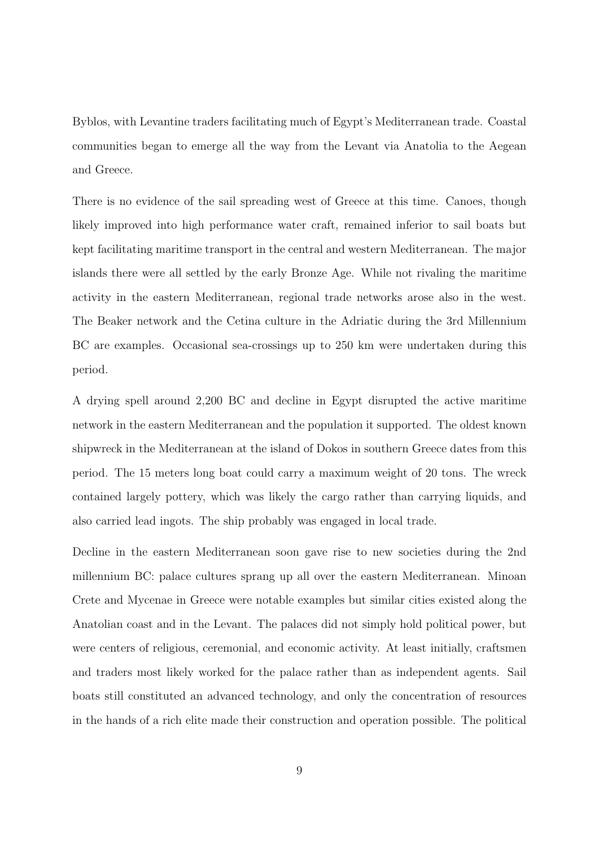Byblos, with Levantine traders facilitating much of Egypt's Mediterranean trade. Coastal communities began to emerge all the way from the Levant via Anatolia to the Aegean and Greece.

There is no evidence of the sail spreading west of Greece at this time. Canoes, though likely improved into high performance water craft, remained inferior to sail boats but kept facilitating maritime transport in the central and western Mediterranean. The major islands there were all settled by the early Bronze Age. While not rivaling the maritime activity in the eastern Mediterranean, regional trade networks arose also in the west. The Beaker network and the Cetina culture in the Adriatic during the 3rd Millennium BC are examples. Occasional sea-crossings up to 250 km were undertaken during this period.

A drying spell around 2,200 BC and decline in Egypt disrupted the active maritime network in the eastern Mediterranean and the population it supported. The oldest known shipwreck in the Mediterranean at the island of Dokos in southern Greece dates from this period. The 15 meters long boat could carry a maximum weight of 20 tons. The wreck contained largely pottery, which was likely the cargo rather than carrying liquids, and also carried lead ingots. The ship probably was engaged in local trade.

Decline in the eastern Mediterranean soon gave rise to new societies during the 2nd millennium BC: palace cultures sprang up all over the eastern Mediterranean. Minoan Crete and Mycenae in Greece were notable examples but similar cities existed along the Anatolian coast and in the Levant. The palaces did not simply hold political power, but were centers of religious, ceremonial, and economic activity. At least initially, craftsmen and traders most likely worked for the palace rather than as independent agents. Sail boats still constituted an advanced technology, and only the concentration of resources in the hands of a rich elite made their construction and operation possible. The political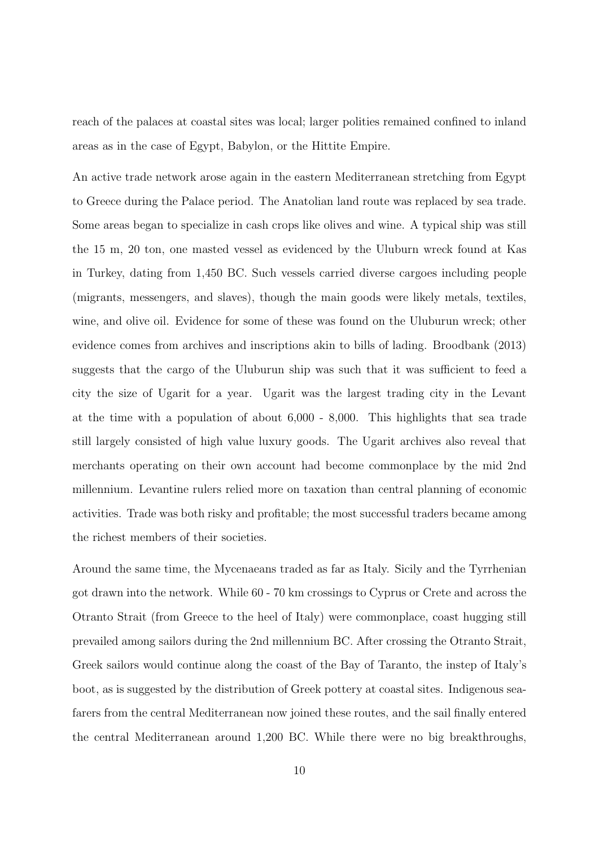reach of the palaces at coastal sites was local; larger polities remained confined to inland areas as in the case of Egypt, Babylon, or the Hittite Empire.

An active trade network arose again in the eastern Mediterranean stretching from Egypt to Greece during the Palace period. The Anatolian land route was replaced by sea trade. Some areas began to specialize in cash crops like olives and wine. A typical ship was still the 15 m, 20 ton, one masted vessel as evidenced by the Uluburn wreck found at Kas in Turkey, dating from 1,450 BC. Such vessels carried diverse cargoes including people (migrants, messengers, and slaves), though the main goods were likely metals, textiles, wine, and olive oil. Evidence for some of these was found on the Uluburun wreck; other evidence comes from archives and inscriptions akin to bills of lading. Broodbank (2013) suggests that the cargo of the Uluburun ship was such that it was sufficient to feed a city the size of Ugarit for a year. Ugarit was the largest trading city in the Levant at the time with a population of about 6,000 - 8,000. This highlights that sea trade still largely consisted of high value luxury goods. The Ugarit archives also reveal that merchants operating on their own account had become commonplace by the mid 2nd millennium. Levantine rulers relied more on taxation than central planning of economic activities. Trade was both risky and profitable; the most successful traders became among the richest members of their societies.

Around the same time, the Mycenaeans traded as far as Italy. Sicily and the Tyrrhenian got drawn into the network. While 60 - 70 km crossings to Cyprus or Crete and across the Otranto Strait (from Greece to the heel of Italy) were commonplace, coast hugging still prevailed among sailors during the 2nd millennium BC. After crossing the Otranto Strait, Greek sailors would continue along the coast of the Bay of Taranto, the instep of Italy's boot, as is suggested by the distribution of Greek pottery at coastal sites. Indigenous seafarers from the central Mediterranean now joined these routes, and the sail finally entered the central Mediterranean around 1,200 BC. While there were no big breakthroughs,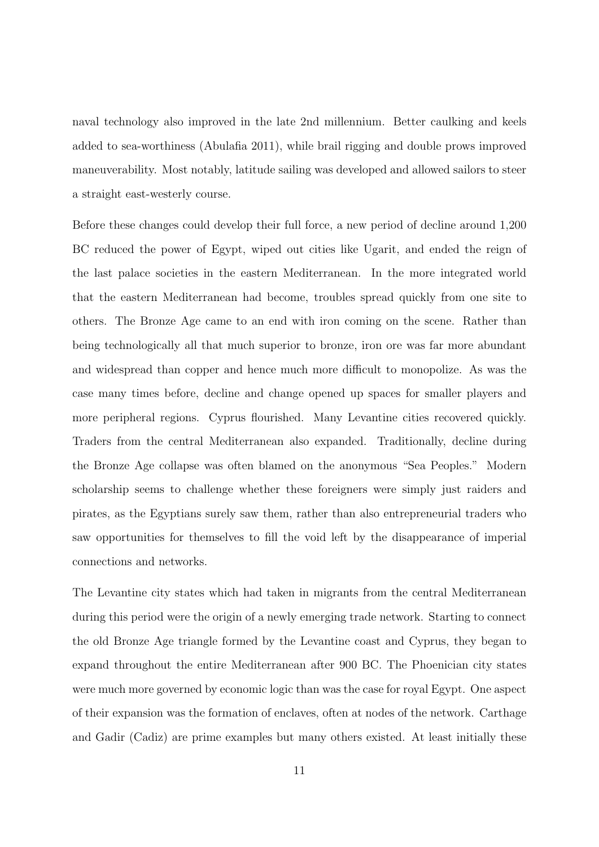naval technology also improved in the late 2nd millennium. Better caulking and keels added to sea-worthiness (Abulafia 2011), while brail rigging and double prows improved maneuverability. Most notably, latitude sailing was developed and allowed sailors to steer a straight east-westerly course.

Before these changes could develop their full force, a new period of decline around 1,200 BC reduced the power of Egypt, wiped out cities like Ugarit, and ended the reign of the last palace societies in the eastern Mediterranean. In the more integrated world that the eastern Mediterranean had become, troubles spread quickly from one site to others. The Bronze Age came to an end with iron coming on the scene. Rather than being technologically all that much superior to bronze, iron ore was far more abundant and widespread than copper and hence much more difficult to monopolize. As was the case many times before, decline and change opened up spaces for smaller players and more peripheral regions. Cyprus flourished. Many Levantine cities recovered quickly. Traders from the central Mediterranean also expanded. Traditionally, decline during the Bronze Age collapse was often blamed on the anonymous "Sea Peoples." Modern scholarship seems to challenge whether these foreigners were simply just raiders and pirates, as the Egyptians surely saw them, rather than also entrepreneurial traders who saw opportunities for themselves to fill the void left by the disappearance of imperial connections and networks.

The Levantine city states which had taken in migrants from the central Mediterranean during this period were the origin of a newly emerging trade network. Starting to connect the old Bronze Age triangle formed by the Levantine coast and Cyprus, they began to expand throughout the entire Mediterranean after 900 BC. The Phoenician city states were much more governed by economic logic than was the case for royal Egypt. One aspect of their expansion was the formation of enclaves, often at nodes of the network. Carthage and Gadir (Cadiz) are prime examples but many others existed. At least initially these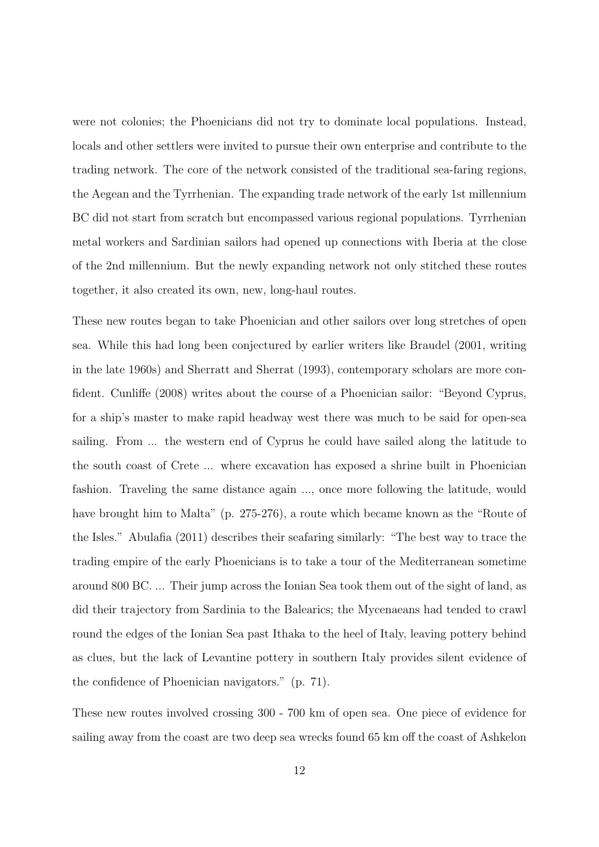were not colonies; the Phoenicians did not try to dominate local populations. Instead, locals and other settlers were invited to pursue their own enterprise and contribute to the trading network. The core of the network consisted of the traditional sea-faring regions, the Aegean and the Tyrrhenian. The expanding trade network of the early 1st millennium BC did not start from scratch but encompassed various regional populations. Tyrrhenian metal workers and Sardinian sailors had opened up connections with Iberia at the close of the 2nd millennium. But the newly expanding network not only stitched these routes together, it also created its own, new, long-haul routes.

These new routes began to take Phoenician and other sailors over long stretches of open sea. While this had long been conjectured by earlier writers like Braudel (2001, writing in the late 1960s) and Sherratt and Sherrat (1993), contemporary scholars are more confident. Cunliffe (2008) writes about the course of a Phoenician sailor: "Beyond Cyprus, for a ship's master to make rapid headway west there was much to be said for open-sea sailing. From ... the western end of Cyprus he could have sailed along the latitude to the south coast of Crete ... where excavation has exposed a shrine built in Phoenician fashion. Traveling the same distance again ..., once more following the latitude, would have brought him to Malta" (p. 275-276), a route which became known as the "Route of the Isles." Abulafia (2011) describes their seafaring similarly: "The best way to trace the trading empire of the early Phoenicians is to take a tour of the Mediterranean sometime around 800 BC. ... Their jump across the Ionian Sea took them out of the sight of land, as did their trajectory from Sardinia to the Balearics; the Mycenaeans had tended to crawl round the edges of the Ionian Sea past Ithaka to the heel of Italy, leaving pottery behind as clues, but the lack of Levantine pottery in southern Italy provides silent evidence of the confidence of Phoenician navigators." (p. 71).

These new routes involved crossing 300 - 700 km of open sea. One piece of evidence for sailing away from the coast are two deep sea wrecks found 65 km off the coast of Ashkelon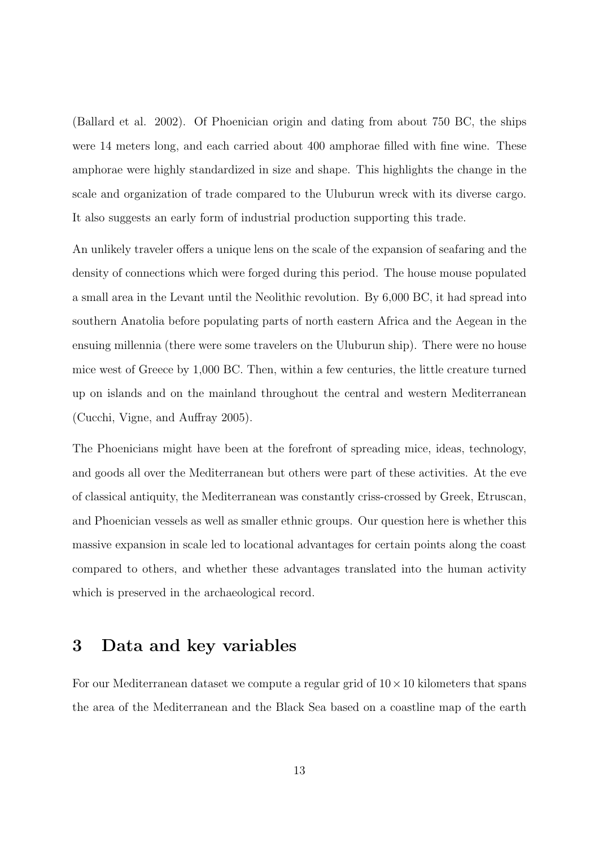(Ballard et al. 2002). Of Phoenician origin and dating from about 750 BC, the ships were 14 meters long, and each carried about 400 amphorae filled with fine wine. These amphorae were highly standardized in size and shape. This highlights the change in the scale and organization of trade compared to the Uluburun wreck with its diverse cargo. It also suggests an early form of industrial production supporting this trade.

An unlikely traveler offers a unique lens on the scale of the expansion of seafaring and the density of connections which were forged during this period. The house mouse populated a small area in the Levant until the Neolithic revolution. By 6,000 BC, it had spread into southern Anatolia before populating parts of north eastern Africa and the Aegean in the ensuing millennia (there were some travelers on the Uluburun ship). There were no house mice west of Greece by 1,000 BC. Then, within a few centuries, the little creature turned up on islands and on the mainland throughout the central and western Mediterranean (Cucchi, Vigne, and Auffray 2005).

The Phoenicians might have been at the forefront of spreading mice, ideas, technology, and goods all over the Mediterranean but others were part of these activities. At the eve of classical antiquity, the Mediterranean was constantly criss-crossed by Greek, Etruscan, and Phoenician vessels as well as smaller ethnic groups. Our question here is whether this massive expansion in scale led to locational advantages for certain points along the coast compared to others, and whether these advantages translated into the human activity which is preserved in the archaeological record.

## 3 Data and key variables

For our Mediterranean dataset we compute a regular grid of  $10 \times 10$  kilometers that spans the area of the Mediterranean and the Black Sea based on a coastline map of the earth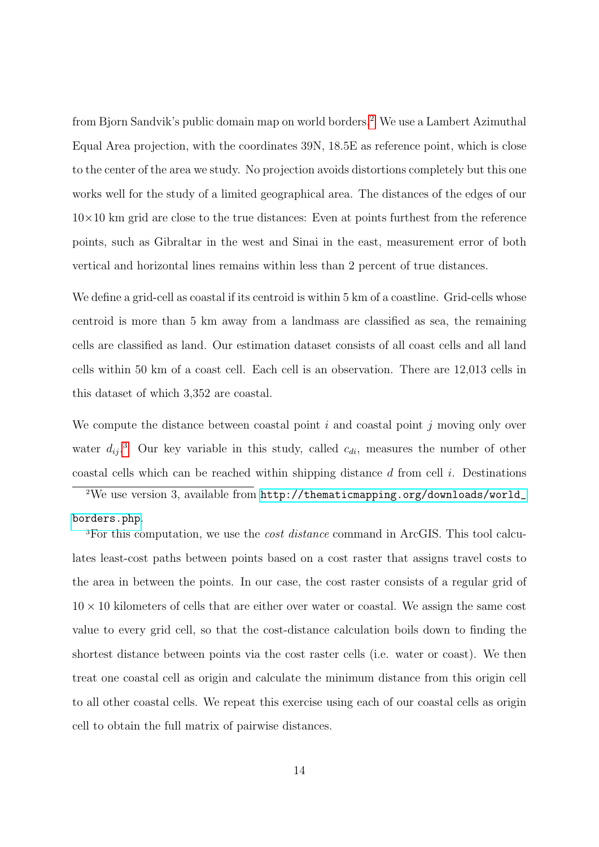from Bjorn Sandvik's public domain map on world borders.[2](#page-13-0) We use a Lambert Azimuthal Equal Area projection, with the coordinates 39N, 18.5E as reference point, which is close to the center of the area we study. No projection avoids distortions completely but this one works well for the study of a limited geographical area. The distances of the edges of our  $10\times10$  km grid are close to the true distances: Even at points furthest from the reference points, such as Gibraltar in the west and Sinai in the east, measurement error of both vertical and horizontal lines remains within less than 2 percent of true distances.

We define a grid-cell as coastal if its centroid is within 5 km of a coastline. Grid-cells whose centroid is more than 5 km away from a landmass are classified as sea, the remaining cells are classified as land. Our estimation dataset consists of all coast cells and all land cells within 50 km of a coast cell. Each cell is an observation. There are 12,013 cells in this dataset of which 3,352 are coastal.

We compute the distance between coastal point  $i$  and coastal point  $j$  moving only over water  $d_{ij}$ <sup>[3](#page-13-1)</sup>. Our key variable in this study, called  $c_{di}$ , measures the number of other coastal cells which can be reached within shipping distance  $d$  from cell  $i$ . Destinations

<span id="page-13-0"></span><sup>2</sup>We use version 3, available from [http://thematicmapping.org/downloads/world\\_](http://thematicmapping.org/downloads/world_borders.php) [borders.php](http://thematicmapping.org/downloads/world_borders.php).

<span id="page-13-1"></span><sup>3</sup>For this computation, we use the *cost distance* command in ArcGIS. This tool calculates least-cost paths between points based on a cost raster that assigns travel costs to the area in between the points. In our case, the cost raster consists of a regular grid of  $10 \times 10$  kilometers of cells that are either over water or coastal. We assign the same cost value to every grid cell, so that the cost-distance calculation boils down to finding the shortest distance between points via the cost raster cells (i.e. water or coast). We then treat one coastal cell as origin and calculate the minimum distance from this origin cell to all other coastal cells. We repeat this exercise using each of our coastal cells as origin cell to obtain the full matrix of pairwise distances.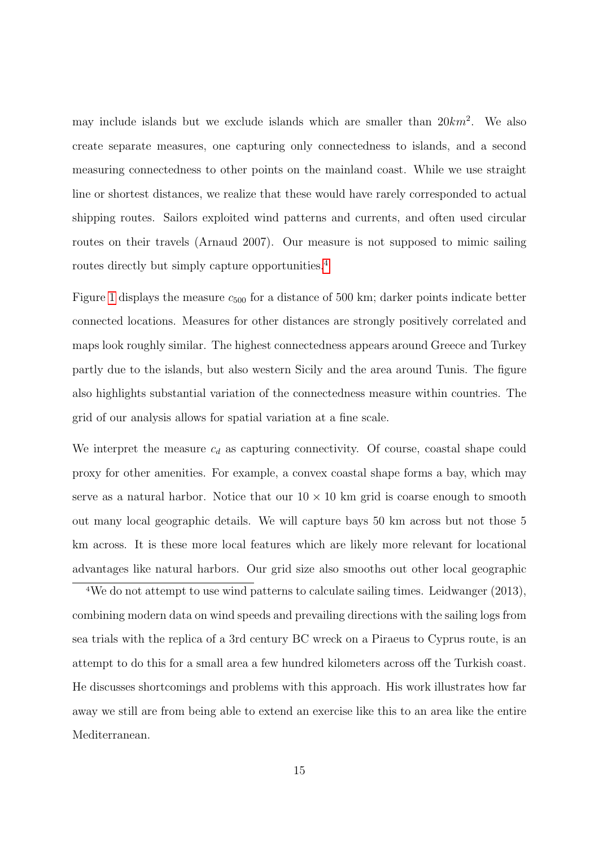may include islands but we exclude islands which are smaller than  $20km^2$ . We also create separate measures, one capturing only connectedness to islands, and a second measuring connectedness to other points on the mainland coast. While we use straight line or shortest distances, we realize that these would have rarely corresponded to actual shipping routes. Sailors exploited wind patterns and currents, and often used circular routes on their travels (Arnaud 2007). Our measure is not supposed to mimic sailing routes directly but simply capture opportunities.<sup>[4](#page-14-0)</sup>

Figure [1](#page-36-0) displays the measure  $c_{500}$  for a distance of 500 km; darker points indicate better connected locations. Measures for other distances are strongly positively correlated and maps look roughly similar. The highest connectedness appears around Greece and Turkey partly due to the islands, but also western Sicily and the area around Tunis. The figure also highlights substantial variation of the connectedness measure within countries. The grid of our analysis allows for spatial variation at a fine scale.

We interpret the measure  $c_d$  as capturing connectivity. Of course, coastal shape could proxy for other amenities. For example, a convex coastal shape forms a bay, which may serve as a natural harbor. Notice that our  $10 \times 10$  km grid is coarse enough to smooth out many local geographic details. We will capture bays 50 km across but not those 5 km across. It is these more local features which are likely more relevant for locational advantages like natural harbors. Our grid size also smooths out other local geographic

<span id="page-14-0"></span><sup>4</sup>We do not attempt to use wind patterns to calculate sailing times. Leidwanger (2013), combining modern data on wind speeds and prevailing directions with the sailing logs from sea trials with the replica of a 3rd century BC wreck on a Piraeus to Cyprus route, is an attempt to do this for a small area a few hundred kilometers across off the Turkish coast. He discusses shortcomings and problems with this approach. His work illustrates how far away we still are from being able to extend an exercise like this to an area like the entire Mediterranean.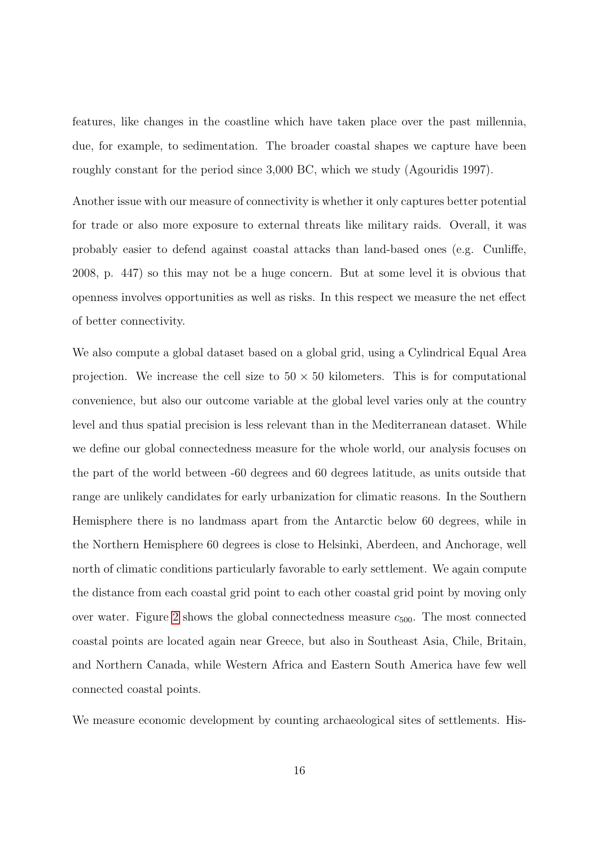features, like changes in the coastline which have taken place over the past millennia, due, for example, to sedimentation. The broader coastal shapes we capture have been roughly constant for the period since 3,000 BC, which we study (Agouridis 1997).

Another issue with our measure of connectivity is whether it only captures better potential for trade or also more exposure to external threats like military raids. Overall, it was probably easier to defend against coastal attacks than land-based ones (e.g. Cunliffe, 2008, p. 447) so this may not be a huge concern. But at some level it is obvious that openness involves opportunities as well as risks. In this respect we measure the net effect of better connectivity.

We also compute a global dataset based on a global grid, using a Cylindrical Equal Area projection. We increase the cell size to  $50 \times 50$  kilometers. This is for computational convenience, but also our outcome variable at the global level varies only at the country level and thus spatial precision is less relevant than in the Mediterranean dataset. While we define our global connectedness measure for the whole world, our analysis focuses on the part of the world between -60 degrees and 60 degrees latitude, as units outside that range are unlikely candidates for early urbanization for climatic reasons. In the Southern Hemisphere there is no landmass apart from the Antarctic below 60 degrees, while in the Northern Hemisphere 60 degrees is close to Helsinki, Aberdeen, and Anchorage, well north of climatic conditions particularly favorable to early settlement. We again compute the distance from each coastal grid point to each other coastal grid point by moving only over water. Figure [2](#page-37-0) shows the global connectedness measure  $c_{500}$ . The most connected coastal points are located again near Greece, but also in Southeast Asia, Chile, Britain, and Northern Canada, while Western Africa and Eastern South America have few well connected coastal points.

We measure economic development by counting archaeological sites of settlements. His-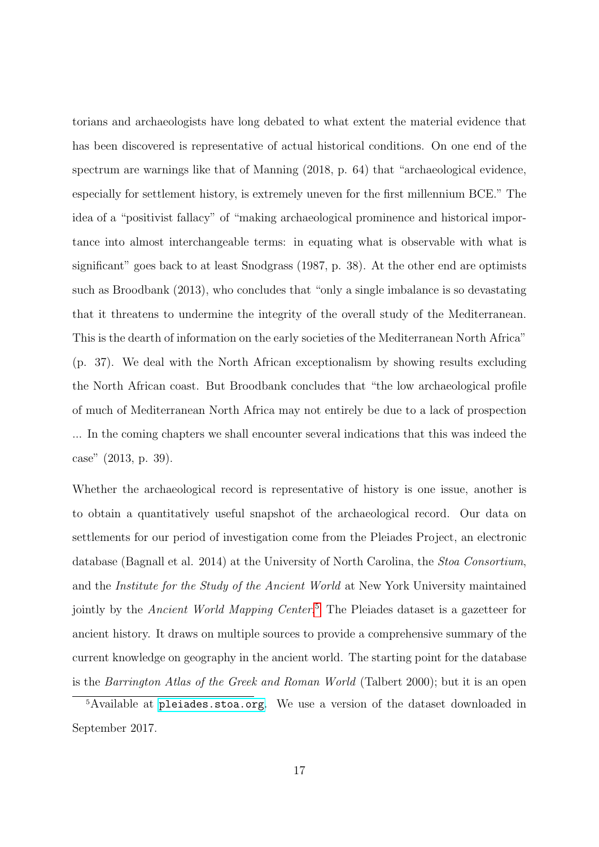torians and archaeologists have long debated to what extent the material evidence that has been discovered is representative of actual historical conditions. On one end of the spectrum are warnings like that of Manning (2018, p. 64) that "archaeological evidence, especially for settlement history, is extremely uneven for the first millennium BCE." The idea of a "positivist fallacy" of "making archaeological prominence and historical importance into almost interchangeable terms: in equating what is observable with what is significant" goes back to at least Snodgrass (1987, p. 38). At the other end are optimists such as Broodbank (2013), who concludes that "only a single imbalance is so devastating that it threatens to undermine the integrity of the overall study of the Mediterranean. This is the dearth of information on the early societies of the Mediterranean North Africa" (p. 37). We deal with the North African exceptionalism by showing results excluding the North African coast. But Broodbank concludes that "the low archaeological profile of much of Mediterranean North Africa may not entirely be due to a lack of prospection ... In the coming chapters we shall encounter several indications that this was indeed the case" (2013, p. 39).

Whether the archaeological record is representative of history is one issue, another is to obtain a quantitatively useful snapshot of the archaeological record. Our data on settlements for our period of investigation come from the Pleiades Project, an electronic database (Bagnall et al. 2014) at the University of North Carolina, the Stoa Consortium, and the Institute for the Study of the Ancient World at New York University maintained jointly by the *Ancient World Mapping Center*.<sup>[5](#page-16-0)</sup> The Pleiades dataset is a gazetteer for ancient history. It draws on multiple sources to provide a comprehensive summary of the current knowledge on geography in the ancient world. The starting point for the database is the Barrington Atlas of the Greek and Roman World (Talbert 2000); but it is an open

<span id="page-16-0"></span><sup>5</sup>Available at <pleiades.stoa.org>. We use a version of the dataset downloaded in September 2017.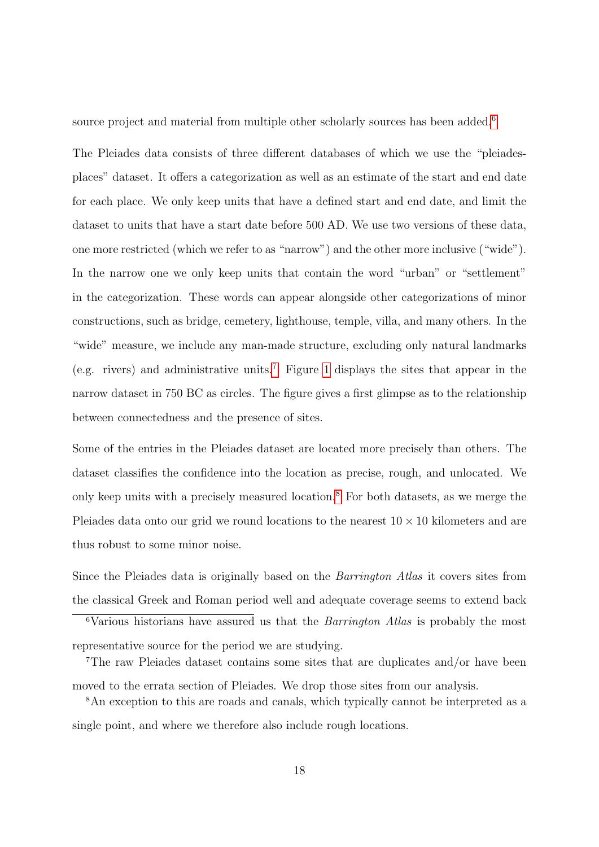source project and material from multiple other scholarly sources has been added. $6$ 

The Pleiades data consists of three different databases of which we use the "pleiadesplaces" dataset. It offers a categorization as well as an estimate of the start and end date for each place. We only keep units that have a defined start and end date, and limit the dataset to units that have a start date before 500 AD. We use two versions of these data, one more restricted (which we refer to as "narrow") and the other more inclusive ("wide"). In the narrow one we only keep units that contain the word "urban" or "settlement" in the categorization. These words can appear alongside other categorizations of minor constructions, such as bridge, cemetery, lighthouse, temple, villa, and many others. In the "wide" measure, we include any man-made structure, excluding only natural landmarks (e.g. rivers) and administrative units.<sup>[7](#page-17-1)</sup> Figure [1](#page-36-0) displays the sites that appear in the narrow dataset in 750 BC as circles. The figure gives a first glimpse as to the relationship between connectedness and the presence of sites.

Some of the entries in the Pleiades dataset are located more precisely than others. The dataset classifies the confidence into the location as precise, rough, and unlocated. We only keep units with a precisely measured location.[8](#page-17-2) For both datasets, as we merge the Pleiades data onto our grid we round locations to the nearest  $10 \times 10$  kilometers and are thus robust to some minor noise.

Since the Pleiades data is originally based on the *Barrington Atlas* it covers sites from the classical Greek and Roman period well and adequate coverage seems to extend back

<span id="page-17-0"></span><sup>6</sup>Various historians have assured us that the Barrington Atlas is probably the most representative source for the period we are studying.

<span id="page-17-1"></span><sup>7</sup>The raw Pleiades dataset contains some sites that are duplicates and/or have been moved to the errata section of Pleiades. We drop those sites from our analysis.

<span id="page-17-2"></span><sup>8</sup>An exception to this are roads and canals, which typically cannot be interpreted as a single point, and where we therefore also include rough locations.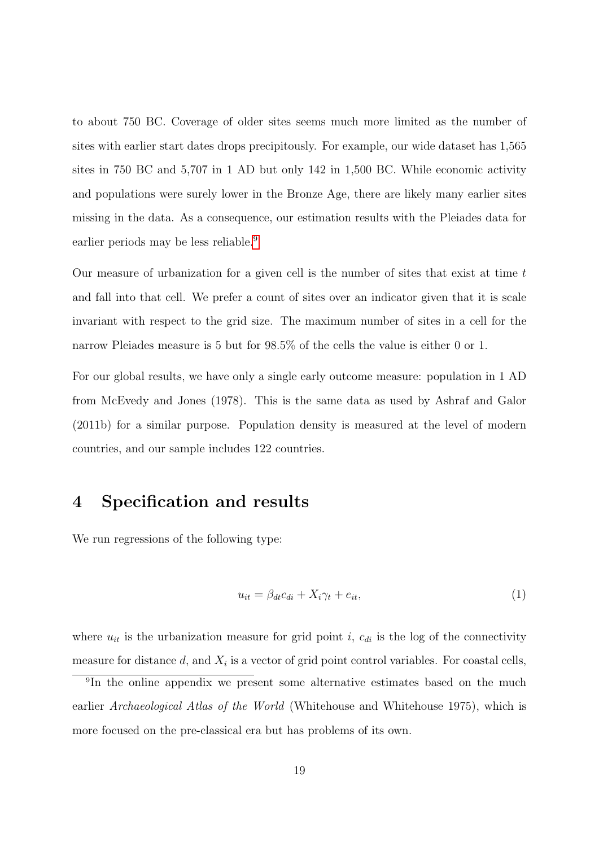to about 750 BC. Coverage of older sites seems much more limited as the number of sites with earlier start dates drops precipitously. For example, our wide dataset has 1,565 sites in 750 BC and 5,707 in 1 AD but only 142 in 1,500 BC. While economic activity and populations were surely lower in the Bronze Age, there are likely many earlier sites missing in the data. As a consequence, our estimation results with the Pleiades data for earlier periods may be less reliable.<sup>[9](#page-18-0)</sup>

Our measure of urbanization for a given cell is the number of sites that exist at time  $t$ and fall into that cell. We prefer a count of sites over an indicator given that it is scale invariant with respect to the grid size. The maximum number of sites in a cell for the narrow Pleiades measure is 5 but for 98.5% of the cells the value is either 0 or 1.

For our global results, we have only a single early outcome measure: population in 1 AD from McEvedy and Jones (1978). This is the same data as used by Ashraf and Galor (2011b) for a similar purpose. Population density is measured at the level of modern countries, and our sample includes 122 countries.

### 4 Specification and results

We run regressions of the following type:

<span id="page-18-1"></span>
$$
u_{it} = \beta_{dt} c_{di} + X_i \gamma_t + e_{it}, \qquad (1)
$$

where  $u_{it}$  is the urbanization measure for grid point i,  $c_{di}$  is the log of the connectivity measure for distance  $d$ , and  $X_i$  is a vector of grid point control variables. For coastal cells,

<span id="page-18-0"></span><sup>9</sup> In the online appendix we present some alternative estimates based on the much earlier Archaeological Atlas of the World (Whitehouse and Whitehouse 1975), which is more focused on the pre-classical era but has problems of its own.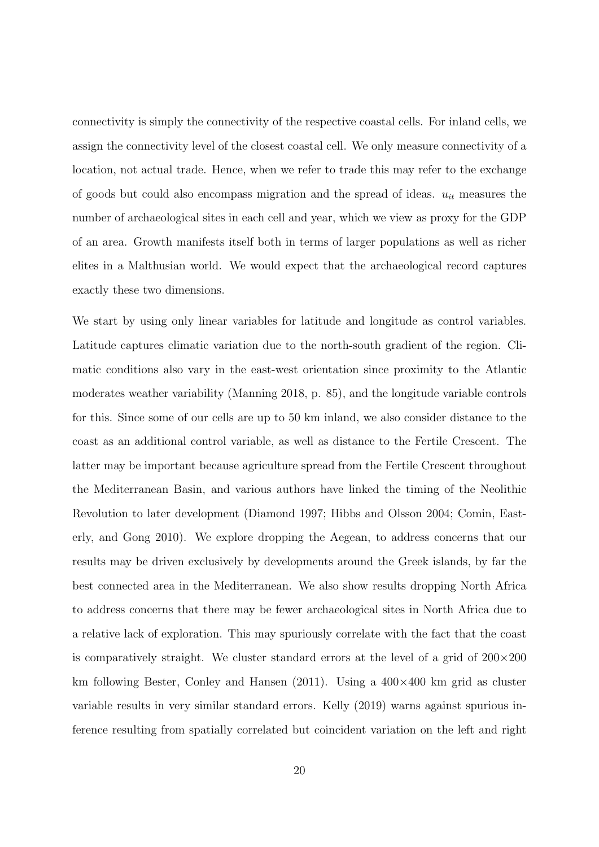connectivity is simply the connectivity of the respective coastal cells. For inland cells, we assign the connectivity level of the closest coastal cell. We only measure connectivity of a location, not actual trade. Hence, when we refer to trade this may refer to the exchange of goods but could also encompass migration and the spread of ideas.  $u_{it}$  measures the number of archaeological sites in each cell and year, which we view as proxy for the GDP of an area. Growth manifests itself both in terms of larger populations as well as richer elites in a Malthusian world. We would expect that the archaeological record captures exactly these two dimensions.

We start by using only linear variables for latitude and longitude as control variables. Latitude captures climatic variation due to the north-south gradient of the region. Climatic conditions also vary in the east-west orientation since proximity to the Atlantic moderates weather variability (Manning 2018, p. 85), and the longitude variable controls for this. Since some of our cells are up to 50 km inland, we also consider distance to the coast as an additional control variable, as well as distance to the Fertile Crescent. The latter may be important because agriculture spread from the Fertile Crescent throughout the Mediterranean Basin, and various authors have linked the timing of the Neolithic Revolution to later development (Diamond 1997; Hibbs and Olsson 2004; Comin, Easterly, and Gong 2010). We explore dropping the Aegean, to address concerns that our results may be driven exclusively by developments around the Greek islands, by far the best connected area in the Mediterranean. We also show results dropping North Africa to address concerns that there may be fewer archaeological sites in North Africa due to a relative lack of exploration. This may spuriously correlate with the fact that the coast is comparatively straight. We cluster standard errors at the level of a grid of  $200 \times 200$ km following Bester, Conley and Hansen (2011). Using a  $400\times400$  km grid as cluster variable results in very similar standard errors. Kelly (2019) warns against spurious inference resulting from spatially correlated but coincident variation on the left and right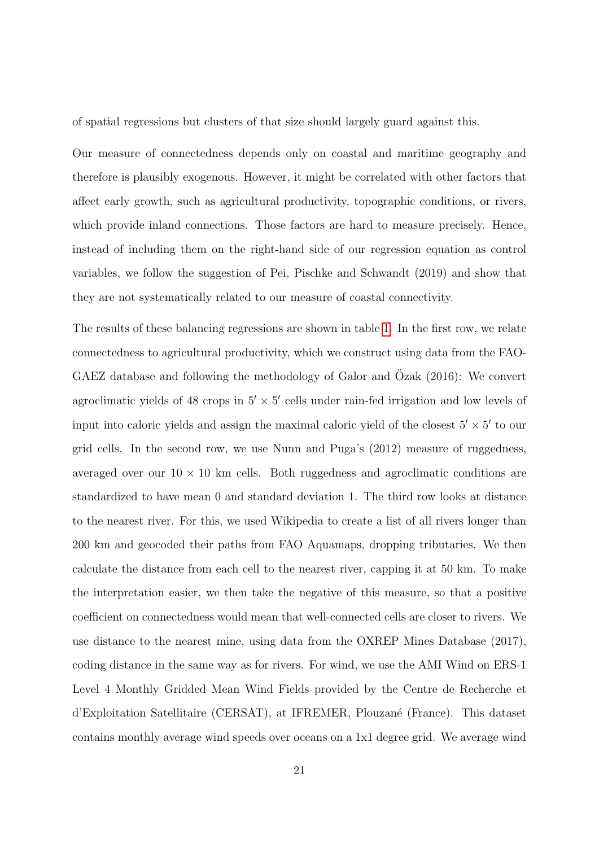of spatial regressions but clusters of that size should largely guard against this.

Our measure of connectedness depends only on coastal and maritime geography and therefore is plausibly exogenous. However, it might be correlated with other factors that affect early growth, such as agricultural productivity, topographic conditions, or rivers, which provide inland connections. Those factors are hard to measure precisely. Hence, instead of including them on the right-hand side of our regression equation as control variables, we follow the suggestion of Pei, Pischke and Schwandt (2019) and show that they are not systematically related to our measure of coastal connectivity.

The results of these balancing regressions are shown in table [1.](#page-41-0) In the first row, we relate connectedness to agricultural productivity, which we construct using data from the FAO-GAEZ database and following the methodology of Galor and Ozak  $(2016)$ : We convert agroclimatic yields of 48 crops in  $5' \times 5'$  cells under rain-fed irrigation and low levels of input into caloric yields and assign the maximal caloric yield of the closest  $5' \times 5'$  to our grid cells. In the second row, we use Nunn and Puga's (2012) measure of ruggedness, averaged over our  $10 \times 10$  km cells. Both ruggedness and agroclimatic conditions are standardized to have mean 0 and standard deviation 1. The third row looks at distance to the nearest river. For this, we used Wikipedia to create a list of all rivers longer than 200 km and geocoded their paths from FAO Aquamaps, dropping tributaries. We then calculate the distance from each cell to the nearest river, capping it at 50 km. To make the interpretation easier, we then take the negative of this measure, so that a positive coefficient on connectedness would mean that well-connected cells are closer to rivers. We use distance to the nearest mine, using data from the OXREP Mines Database (2017), coding distance in the same way as for rivers. For wind, we use the AMI Wind on ERS-1 Level 4 Monthly Gridded Mean Wind Fields provided by the Centre de Recherche et d'Exploitation Satellitaire (CERSAT), at IFREMER, Plouzan´e (France). This dataset contains monthly average wind speeds over oceans on a 1x1 degree grid. We average wind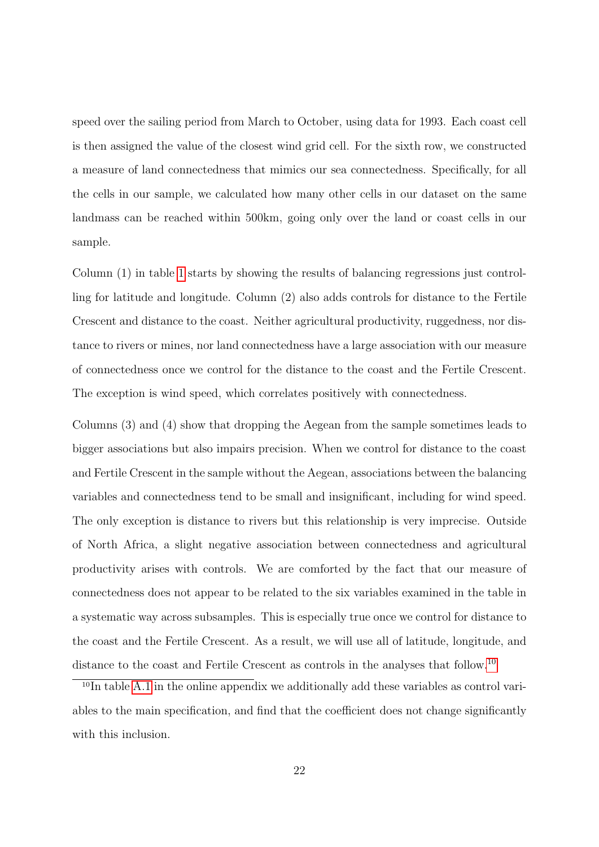speed over the sailing period from March to October, using data for 1993. Each coast cell is then assigned the value of the closest wind grid cell. For the sixth row, we constructed a measure of land connectedness that mimics our sea connectedness. Specifically, for all the cells in our sample, we calculated how many other cells in our dataset on the same landmass can be reached within 500km, going only over the land or coast cells in our sample.

Column (1) in table [1](#page-41-0) starts by showing the results of balancing regressions just controlling for latitude and longitude. Column (2) also adds controls for distance to the Fertile Crescent and distance to the coast. Neither agricultural productivity, ruggedness, nor distance to rivers or mines, nor land connectedness have a large association with our measure of connectedness once we control for the distance to the coast and the Fertile Crescent. The exception is wind speed, which correlates positively with connectedness.

Columns (3) and (4) show that dropping the Aegean from the sample sometimes leads to bigger associations but also impairs precision. When we control for distance to the coast and Fertile Crescent in the sample without the Aegean, associations between the balancing variables and connectedness tend to be small and insignificant, including for wind speed. The only exception is distance to rivers but this relationship is very imprecise. Outside of North Africa, a slight negative association between connectedness and agricultural productivity arises with controls. We are comforted by the fact that our measure of connectedness does not appear to be related to the six variables examined in the table in a systematic way across subsamples. This is especially true once we control for distance to the coast and the Fertile Crescent. As a result, we will use all of latitude, longitude, and distance to the coast and Fertile Crescent as controls in the analyses that follow.[10](#page-21-0)

<span id="page-21-0"></span><sup>&</sup>lt;sup>10</sup>In table [A.1](#page-0-0) in the online appendix we additionally add these variables as control variables to the main specification, and find that the coefficient does not change significantly with this inclusion.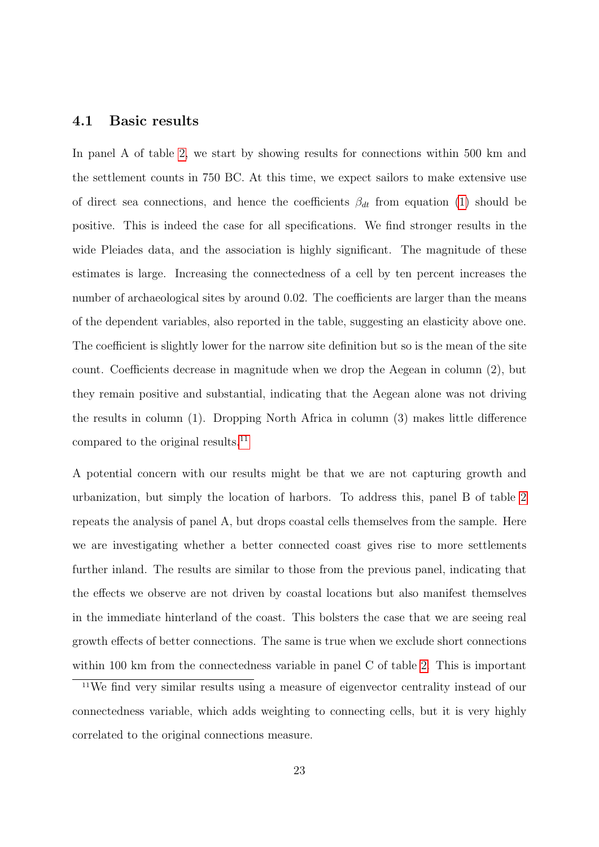#### 4.1 Basic results

In panel A of table [2,](#page-42-0) we start by showing results for connections within 500 km and the settlement counts in 750 BC. At this time, we expect sailors to make extensive use of direct sea connections, and hence the coefficients  $\beta_{dt}$  from equation [\(1\)](#page-18-1) should be positive. This is indeed the case for all specifications. We find stronger results in the wide Pleiades data, and the association is highly significant. The magnitude of these estimates is large. Increasing the connectedness of a cell by ten percent increases the number of archaeological sites by around 0.02. The coefficients are larger than the means of the dependent variables, also reported in the table, suggesting an elasticity above one. The coefficient is slightly lower for the narrow site definition but so is the mean of the site count. Coefficients decrease in magnitude when we drop the Aegean in column (2), but they remain positive and substantial, indicating that the Aegean alone was not driving the results in column (1). Dropping North Africa in column (3) makes little difference compared to the original results.<sup>[11](#page-22-0)</sup>

A potential concern with our results might be that we are not capturing growth and urbanization, but simply the location of harbors. To address this, panel B of table [2](#page-42-0) repeats the analysis of panel A, but drops coastal cells themselves from the sample. Here we are investigating whether a better connected coast gives rise to more settlements further inland. The results are similar to those from the previous panel, indicating that the effects we observe are not driven by coastal locations but also manifest themselves in the immediate hinterland of the coast. This bolsters the case that we are seeing real growth effects of better connections. The same is true when we exclude short connections within 100 km from the connectedness variable in panel C of table [2.](#page-42-0) This is important

<span id="page-22-0"></span><sup>11</sup>We find very similar results using a measure of eigenvector centrality instead of our connectedness variable, which adds weighting to connecting cells, but it is very highly correlated to the original connections measure.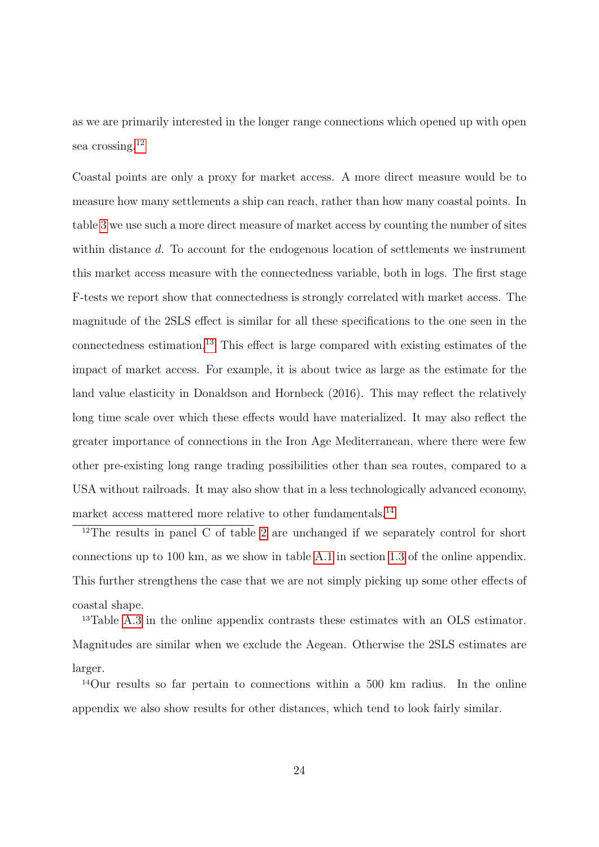as we are primarily interested in the longer range connections which opened up with open sea crossing.<sup>[12](#page-23-0)</sup>

Coastal points are only a proxy for market access. A more direct measure would be to measure how many settlements a ship can reach, rather than how many coastal points. In table [3](#page-43-0) we use such a more direct measure of market access by counting the number of sites within distance d. To account for the endogenous location of settlements we instrument this market access measure with the connectedness variable, both in logs. The first stage F-tests we report show that connectedness is strongly correlated with market access. The magnitude of the 2SLS effect is similar for all these specifications to the one seen in the connectedness estimation.[13](#page-23-1) This effect is large compared with existing estimates of the impact of market access. For example, it is about twice as large as the estimate for the land value elasticity in Donaldson and Hornbeck (2016). This may reflect the relatively long time scale over which these effects would have materialized. It may also reflect the greater importance of connections in the Iron Age Mediterranean, where there were few other pre-existing long range trading possibilities other than sea routes, compared to a USA without railroads. It may also show that in a less technologically advanced economy, market access mattered more relative to other fundamentals.[14](#page-23-2)

<span id="page-23-0"></span><sup>12</sup>The results in panel C of table [2](#page-42-0) are unchanged if we separately control for short connections up to 100 km, as we show in table [A.1](#page-0-0) in section [1.3](#page-0-0) of the online appendix. This further strengthens the case that we are not simply picking up some other effects of coastal shape.

<span id="page-23-1"></span><sup>13</sup>Table [A.3](#page-42-0) in the online appendix contrasts these estimates with an OLS estimator. Magnitudes are similar when we exclude the Aegean. Otherwise the 2SLS estimates are larger.

<span id="page-23-2"></span><sup>14</sup>Our results so far pertain to connections within a 500 km radius. In the online appendix we also show results for other distances, which tend to look fairly similar.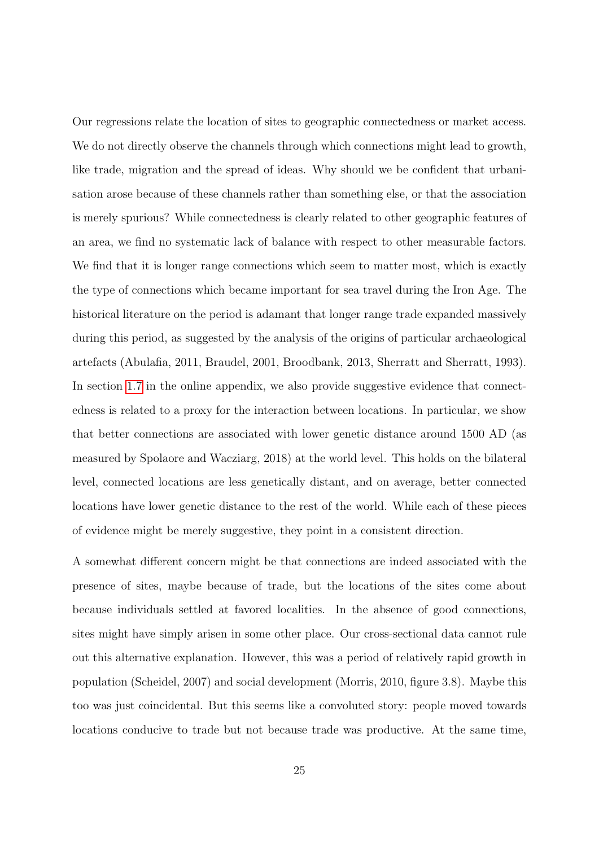Our regressions relate the location of sites to geographic connectedness or market access. We do not directly observe the channels through which connections might lead to growth, like trade, migration and the spread of ideas. Why should we be confident that urbanisation arose because of these channels rather than something else, or that the association is merely spurious? While connectedness is clearly related to other geographic features of an area, we find no systematic lack of balance with respect to other measurable factors. We find that it is longer range connections which seem to matter most, which is exactly the type of connections which became important for sea travel during the Iron Age. The historical literature on the period is adamant that longer range trade expanded massively during this period, as suggested by the analysis of the origins of particular archaeological artefacts (Abulafia, 2011, Braudel, 2001, Broodbank, 2013, Sherratt and Sherratt, 1993). In section [1.7](#page-0-0) in the online appendix, we also provide suggestive evidence that connectedness is related to a proxy for the interaction between locations. In particular, we show that better connections are associated with lower genetic distance around 1500 AD (as measured by Spolaore and Wacziarg, 2018) at the world level. This holds on the bilateral level, connected locations are less genetically distant, and on average, better connected locations have lower genetic distance to the rest of the world. While each of these pieces of evidence might be merely suggestive, they point in a consistent direction.

A somewhat different concern might be that connections are indeed associated with the presence of sites, maybe because of trade, but the locations of the sites come about because individuals settled at favored localities. In the absence of good connections, sites might have simply arisen in some other place. Our cross-sectional data cannot rule out this alternative explanation. However, this was a period of relatively rapid growth in population (Scheidel, 2007) and social development (Morris, 2010, figure 3.8). Maybe this too was just coincidental. But this seems like a convoluted story: people moved towards locations conducive to trade but not because trade was productive. At the same time,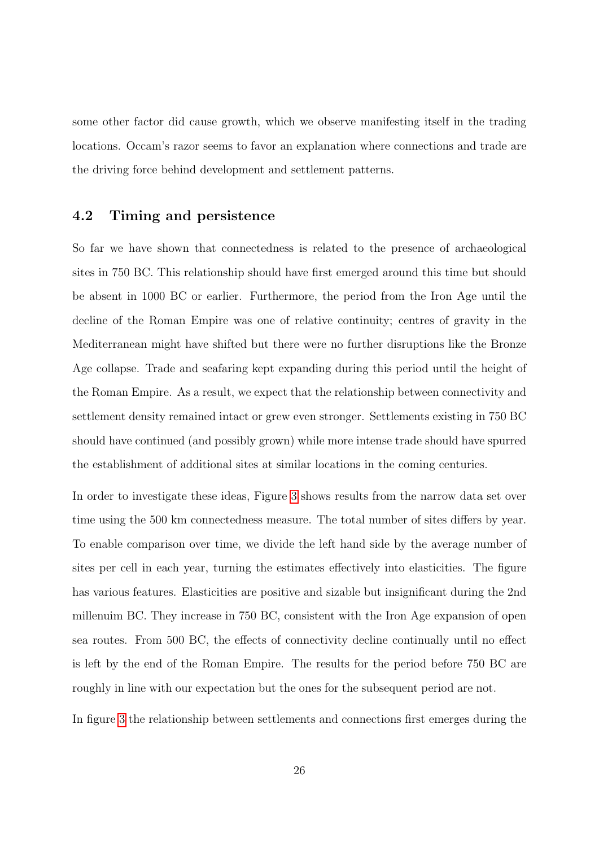some other factor did cause growth, which we observe manifesting itself in the trading locations. Occam's razor seems to favor an explanation where connections and trade are the driving force behind development and settlement patterns.

#### 4.2 Timing and persistence

So far we have shown that connectedness is related to the presence of archaeological sites in 750 BC. This relationship should have first emerged around this time but should be absent in 1000 BC or earlier. Furthermore, the period from the Iron Age until the decline of the Roman Empire was one of relative continuity; centres of gravity in the Mediterranean might have shifted but there were no further disruptions like the Bronze Age collapse. Trade and seafaring kept expanding during this period until the height of the Roman Empire. As a result, we expect that the relationship between connectivity and settlement density remained intact or grew even stronger. Settlements existing in 750 BC should have continued (and possibly grown) while more intense trade should have spurred the establishment of additional sites at similar locations in the coming centuries.

In order to investigate these ideas, Figure [3](#page-38-0) shows results from the narrow data set over time using the 500 km connectedness measure. The total number of sites differs by year. To enable comparison over time, we divide the left hand side by the average number of sites per cell in each year, turning the estimates effectively into elasticities. The figure has various features. Elasticities are positive and sizable but insignificant during the 2nd millenuim BC. They increase in 750 BC, consistent with the Iron Age expansion of open sea routes. From 500 BC, the effects of connectivity decline continually until no effect is left by the end of the Roman Empire. The results for the period before 750 BC are roughly in line with our expectation but the ones for the subsequent period are not.

In figure [3](#page-38-0) the relationship between settlements and connections first emerges during the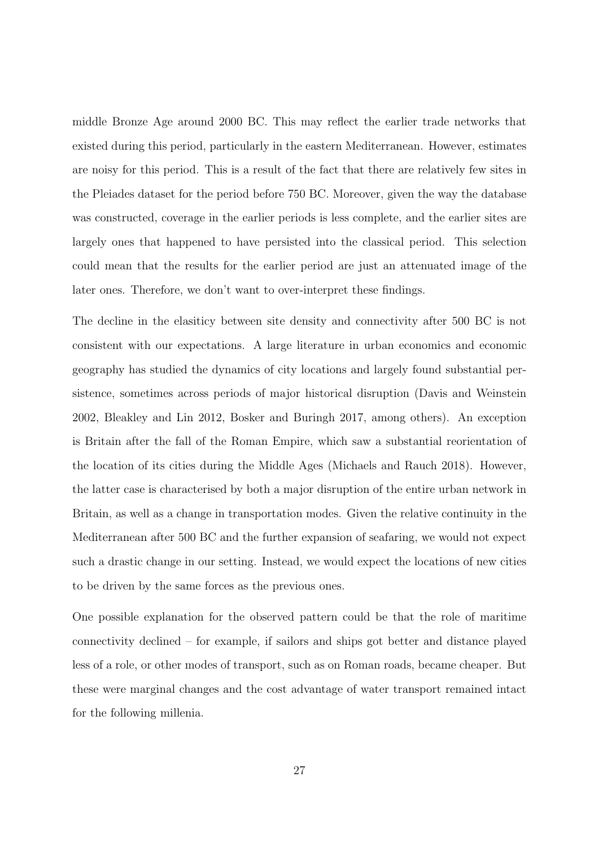middle Bronze Age around 2000 BC. This may reflect the earlier trade networks that existed during this period, particularly in the eastern Mediterranean. However, estimates are noisy for this period. This is a result of the fact that there are relatively few sites in the Pleiades dataset for the period before 750 BC. Moreover, given the way the database was constructed, coverage in the earlier periods is less complete, and the earlier sites are largely ones that happened to have persisted into the classical period. This selection could mean that the results for the earlier period are just an attenuated image of the later ones. Therefore, we don't want to over-interpret these findings.

The decline in the elasiticy between site density and connectivity after 500 BC is not consistent with our expectations. A large literature in urban economics and economic geography has studied the dynamics of city locations and largely found substantial persistence, sometimes across periods of major historical disruption (Davis and Weinstein 2002, Bleakley and Lin 2012, Bosker and Buringh 2017, among others). An exception is Britain after the fall of the Roman Empire, which saw a substantial reorientation of the location of its cities during the Middle Ages (Michaels and Rauch 2018). However, the latter case is characterised by both a major disruption of the entire urban network in Britain, as well as a change in transportation modes. Given the relative continuity in the Mediterranean after 500 BC and the further expansion of seafaring, we would not expect such a drastic change in our setting. Instead, we would expect the locations of new cities to be driven by the same forces as the previous ones.

One possible explanation for the observed pattern could be that the role of maritime connectivity declined – for example, if sailors and ships got better and distance played less of a role, or other modes of transport, such as on Roman roads, became cheaper. But these were marginal changes and the cost advantage of water transport remained intact for the following millenia.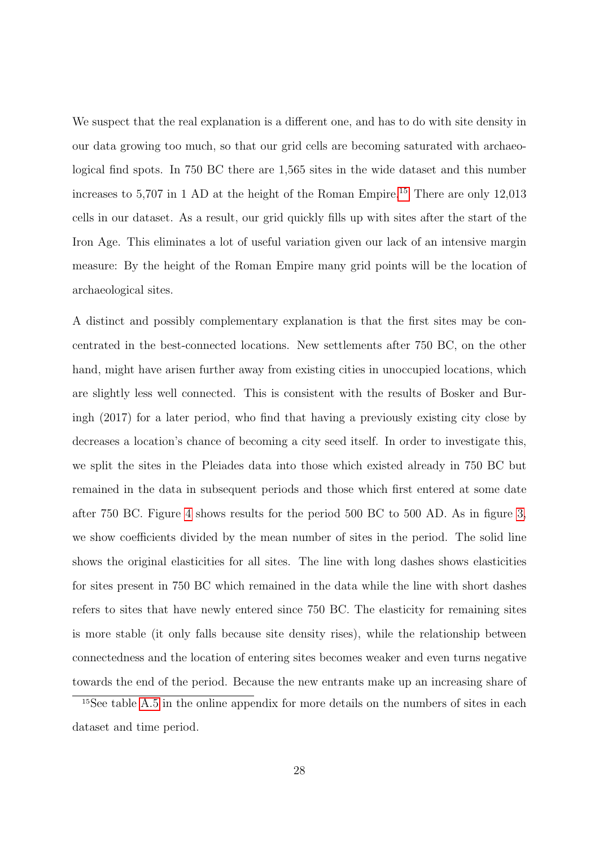We suspect that the real explanation is a different one, and has to do with site density in our data growing too much, so that our grid cells are becoming saturated with archaeological find spots. In 750 BC there are 1,565 sites in the wide dataset and this number increases to  $5,707$  in 1 AD at the height of the Roman Empire.<sup>[15](#page-27-0)</sup> There are only 12,013 cells in our dataset. As a result, our grid quickly fills up with sites after the start of the Iron Age. This eliminates a lot of useful variation given our lack of an intensive margin measure: By the height of the Roman Empire many grid points will be the location of archaeological sites.

A distinct and possibly complementary explanation is that the first sites may be concentrated in the best-connected locations. New settlements after 750 BC, on the other hand, might have arisen further away from existing cities in unoccupied locations, which are slightly less well connected. This is consistent with the results of Bosker and Buringh (2017) for a later period, who find that having a previously existing city close by decreases a location's chance of becoming a city seed itself. In order to investigate this, we split the sites in the Pleiades data into those which existed already in 750 BC but remained in the data in subsequent periods and those which first entered at some date after 750 BC. Figure [4](#page-39-0) shows results for the period 500 BC to 500 AD. As in figure [3,](#page-38-0) we show coefficients divided by the mean number of sites in the period. The solid line shows the original elasticities for all sites. The line with long dashes shows elasticities for sites present in 750 BC which remained in the data while the line with short dashes refers to sites that have newly entered since 750 BC. The elasticity for remaining sites is more stable (it only falls because site density rises), while the relationship between connectedness and the location of entering sites becomes weaker and even turns negative towards the end of the period. Because the new entrants make up an increasing share of

<span id="page-27-0"></span><sup>15</sup>See table [A.5](#page-0-0) in the online appendix for more details on the numbers of sites in each dataset and time period.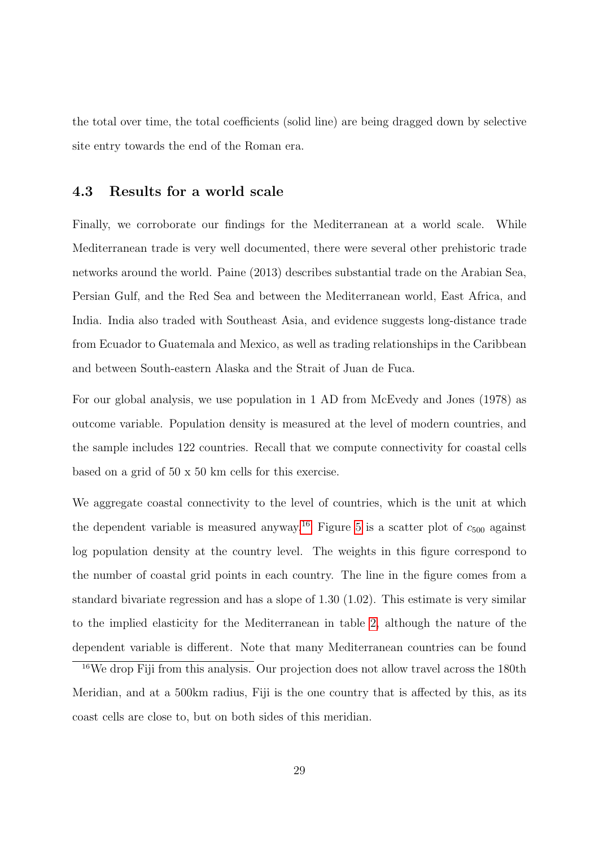the total over time, the total coefficients (solid line) are being dragged down by selective site entry towards the end of the Roman era.

#### 4.3 Results for a world scale

Finally, we corroborate our findings for the Mediterranean at a world scale. While Mediterranean trade is very well documented, there were several other prehistoric trade networks around the world. Paine (2013) describes substantial trade on the Arabian Sea, Persian Gulf, and the Red Sea and between the Mediterranean world, East Africa, and India. India also traded with Southeast Asia, and evidence suggests long-distance trade from Ecuador to Guatemala and Mexico, as well as trading relationships in the Caribbean and between South-eastern Alaska and the Strait of Juan de Fuca.

For our global analysis, we use population in 1 AD from McEvedy and Jones (1978) as outcome variable. Population density is measured at the level of modern countries, and the sample includes 122 countries. Recall that we compute connectivity for coastal cells based on a grid of 50 x 50 km cells for this exercise.

We aggregate coastal connectivity to the level of countries, which is the unit at which the dependent variable is measured anyway.<sup>[16](#page-28-0)</sup> Figure [5](#page-40-0) is a scatter plot of  $c_{500}$  against log population density at the country level. The weights in this figure correspond to the number of coastal grid points in each country. The line in the figure comes from a standard bivariate regression and has a slope of 1.30 (1.02). This estimate is very similar to the implied elasticity for the Mediterranean in table [2,](#page-42-0) although the nature of the dependent variable is different. Note that many Mediterranean countries can be found

<span id="page-28-0"></span><sup>16</sup>We drop Fiji from this analysis. Our projection does not allow travel across the 180th Meridian, and at a 500km radius, Fiji is the one country that is affected by this, as its coast cells are close to, but on both sides of this meridian.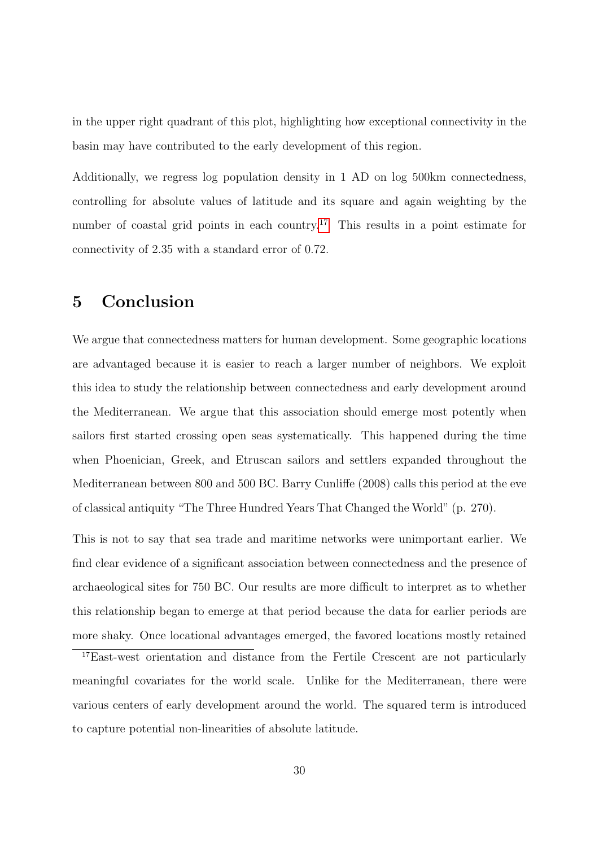in the upper right quadrant of this plot, highlighting how exceptional connectivity in the basin may have contributed to the early development of this region.

Additionally, we regress log population density in 1 AD on log 500km connectedness, controlling for absolute values of latitude and its square and again weighting by the number of coastal grid points in each country.<sup>[17](#page-29-0)</sup> This results in a point estimate for connectivity of 2.35 with a standard error of 0.72.

## 5 Conclusion

We argue that connectedness matters for human development. Some geographic locations are advantaged because it is easier to reach a larger number of neighbors. We exploit this idea to study the relationship between connectedness and early development around the Mediterranean. We argue that this association should emerge most potently when sailors first started crossing open seas systematically. This happened during the time when Phoenician, Greek, and Etruscan sailors and settlers expanded throughout the Mediterranean between 800 and 500 BC. Barry Cunliffe (2008) calls this period at the eve of classical antiquity "The Three Hundred Years That Changed the World" (p. 270).

This is not to say that sea trade and maritime networks were unimportant earlier. We find clear evidence of a significant association between connectedness and the presence of archaeological sites for 750 BC. Our results are more difficult to interpret as to whether this relationship began to emerge at that period because the data for earlier periods are more shaky. Once locational advantages emerged, the favored locations mostly retained

<span id="page-29-0"></span><sup>17</sup>East-west orientation and distance from the Fertile Crescent are not particularly meaningful covariates for the world scale. Unlike for the Mediterranean, there were various centers of early development around the world. The squared term is introduced to capture potential non-linearities of absolute latitude.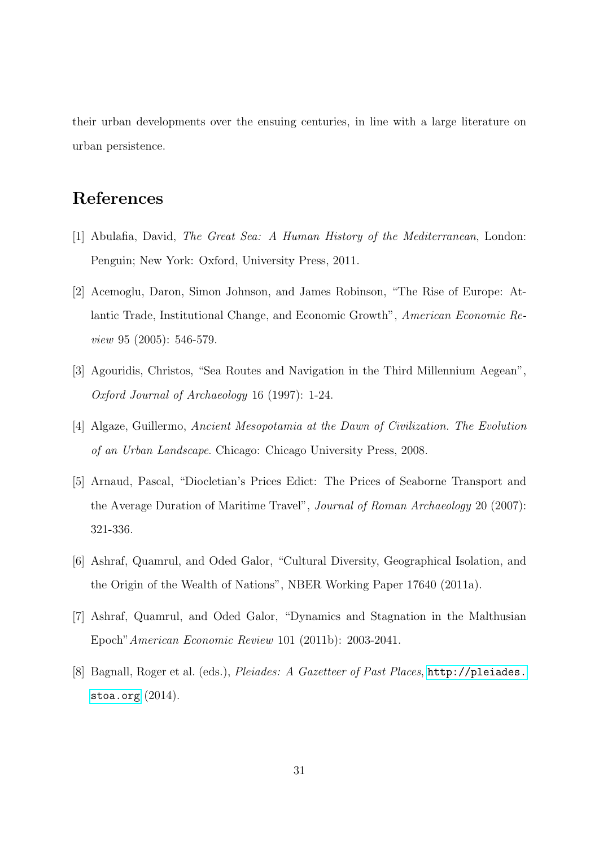their urban developments over the ensuing centuries, in line with a large literature on urban persistence.

## References

- [1] Abulafia, David, The Great Sea: A Human History of the Mediterranean, London: Penguin; New York: Oxford, University Press, 2011.
- [2] Acemoglu, Daron, Simon Johnson, and James Robinson, "The Rise of Europe: Atlantic Trade, Institutional Change, and Economic Growth", American Economic Review 95 (2005): 546-579.
- [3] Agouridis, Christos, "Sea Routes and Navigation in the Third Millennium Aegean", Oxford Journal of Archaeology 16 (1997): 1-24.
- [4] Algaze, Guillermo, Ancient Mesopotamia at the Dawn of Civilization. The Evolution of an Urban Landscape. Chicago: Chicago University Press, 2008.
- [5] Arnaud, Pascal, "Diocletian's Prices Edict: The Prices of Seaborne Transport and the Average Duration of Maritime Travel", Journal of Roman Archaeology 20 (2007): 321-336.
- [6] Ashraf, Quamrul, and Oded Galor, "Cultural Diversity, Geographical Isolation, and the Origin of the Wealth of Nations", NBER Working Paper 17640 (2011a).
- [7] Ashraf, Quamrul, and Oded Galor, "Dynamics and Stagnation in the Malthusian Epoch"American Economic Review 101 (2011b): 2003-2041.
- [8] Bagnall, Roger et al. (eds.), Pleiades: A Gazetteer of Past Places, [http://pleiades.](http://pleiades.stoa.org) [stoa.org](http://pleiades.stoa.org) (2014).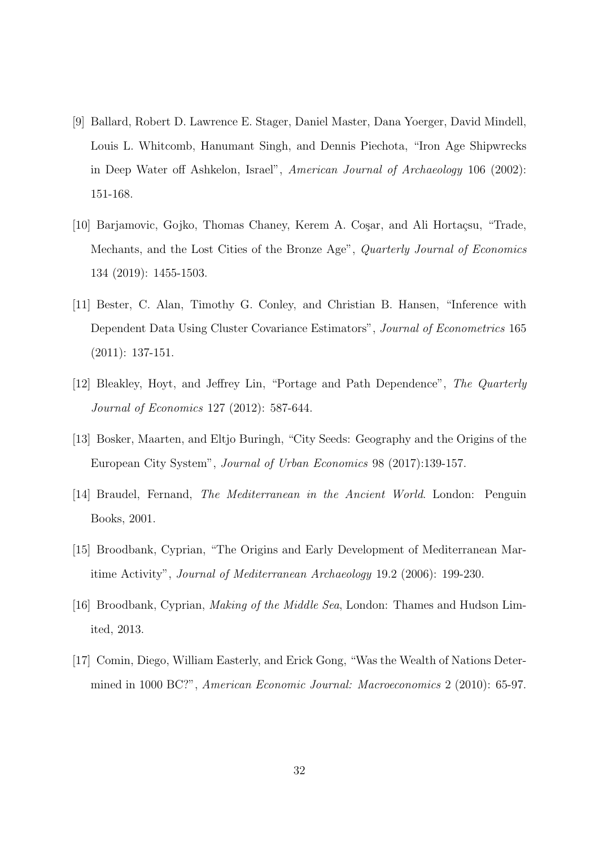- [9] Ballard, Robert D. Lawrence E. Stager, Daniel Master, Dana Yoerger, David Mindell, Louis L. Whitcomb, Hanumant Singh, and Dennis Piechota, "Iron Age Shipwrecks in Deep Water off Ashkelon, Israel", American Journal of Archaeology 106 (2002): 151-168.
- [10] Barjamovic, Gojko, Thomas Chaney, Kerem A. Coşar, and Ali Hortaçsu, "Trade, Mechants, and the Lost Cities of the Bronze Age", Quarterly Journal of Economics 134 (2019): 1455-1503.
- [11] Bester, C. Alan, Timothy G. Conley, and Christian B. Hansen, "Inference with Dependent Data Using Cluster Covariance Estimators", Journal of Econometrics 165 (2011): 137-151.
- [12] Bleakley, Hoyt, and Jeffrey Lin, "Portage and Path Dependence", The Quarterly Journal of Economics 127 (2012): 587-644.
- [13] Bosker, Maarten, and Eltjo Buringh, "City Seeds: Geography and the Origins of the European City System", Journal of Urban Economics 98 (2017):139-157.
- [14] Braudel, Fernand, The Mediterranean in the Ancient World. London: Penguin Books, 2001.
- [15] Broodbank, Cyprian, "The Origins and Early Development of Mediterranean Maritime Activity", Journal of Mediterranean Archaeology 19.2 (2006): 199-230.
- [16] Broodbank, Cyprian, Making of the Middle Sea, London: Thames and Hudson Limited, 2013.
- [17] Comin, Diego, William Easterly, and Erick Gong, "Was the Wealth of Nations Determined in 1000 BC?", American Economic Journal: Macroeconomics 2 (2010): 65-97.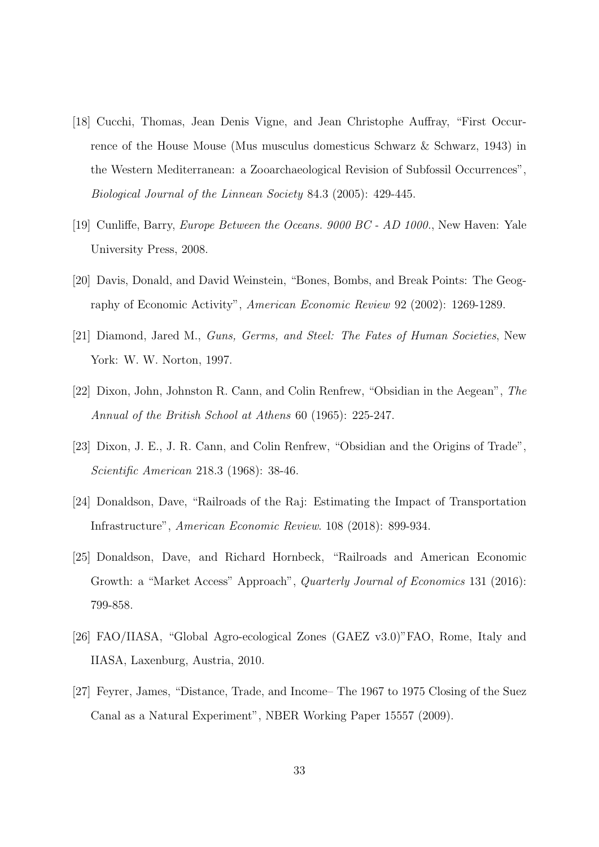- [18] Cucchi, Thomas, Jean Denis Vigne, and Jean Christophe Auffray, "First Occurrence of the House Mouse (Mus musculus domesticus Schwarz & Schwarz, 1943) in the Western Mediterranean: a Zooarchaeological Revision of Subfossil Occurrences", Biological Journal of the Linnean Society 84.3 (2005): 429-445.
- [19] Cunliffe, Barry, Europe Between the Oceans. 9000 BC AD 1000., New Haven: Yale University Press, 2008.
- [20] Davis, Donald, and David Weinstein, "Bones, Bombs, and Break Points: The Geography of Economic Activity", American Economic Review 92 (2002): 1269-1289.
- [21] Diamond, Jared M., Guns, Germs, and Steel: The Fates of Human Societies, New York: W. W. Norton, 1997.
- [22] Dixon, John, Johnston R. Cann, and Colin Renfrew, "Obsidian in the Aegean", The Annual of the British School at Athens 60 (1965): 225-247.
- [23] Dixon, J. E., J. R. Cann, and Colin Renfrew, "Obsidian and the Origins of Trade", Scientific American 218.3 (1968): 38-46.
- [24] Donaldson, Dave, "Railroads of the Raj: Estimating the Impact of Transportation Infrastructure", American Economic Review. 108 (2018): 899-934.
- [25] Donaldson, Dave, and Richard Hornbeck, "Railroads and American Economic Growth: a "Market Access" Approach", Quarterly Journal of Economics 131 (2016): 799-858.
- [26] FAO/IIASA, "Global Agro-ecological Zones (GAEZ v3.0)"FAO, Rome, Italy and IIASA, Laxenburg, Austria, 2010.
- [27] Feyrer, James, "Distance, Trade, and Income– The 1967 to 1975 Closing of the Suez Canal as a Natural Experiment", NBER Working Paper 15557 (2009).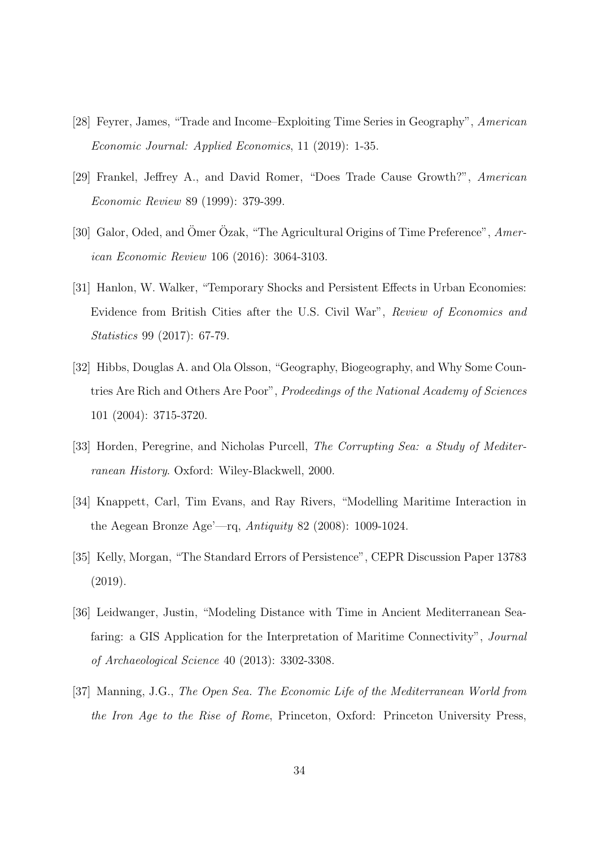- [28] Feyrer, James, "Trade and Income–Exploiting Time Series in Geography", American Economic Journal: Applied Economics, 11 (2019): 1-35.
- [29] Frankel, Jeffrey A., and David Romer, "Does Trade Cause Growth?", American Economic Review 89 (1999): 379-399.
- [30] Galor, Oded, and Omer Ozak, "The Agricultural Origins of Time Preference", American Economic Review 106 (2016): 3064-3103.
- [31] Hanlon, W. Walker, "Temporary Shocks and Persistent Effects in Urban Economies: Evidence from British Cities after the U.S. Civil War", Review of Economics and Statistics 99 (2017): 67-79.
- [32] Hibbs, Douglas A. and Ola Olsson, "Geography, Biogeography, and Why Some Countries Are Rich and Others Are Poor", Prodeedings of the National Academy of Sciences 101 (2004): 3715-3720.
- [33] Horden, Peregrine, and Nicholas Purcell, The Corrupting Sea: a Study of Mediterranean History. Oxford: Wiley-Blackwell, 2000.
- [34] Knappett, Carl, Tim Evans, and Ray Rivers, "Modelling Maritime Interaction in the Aegean Bronze Age'—rq, Antiquity 82 (2008): 1009-1024.
- [35] Kelly, Morgan, "The Standard Errors of Persistence", CEPR Discussion Paper 13783 (2019).
- [36] Leidwanger, Justin, "Modeling Distance with Time in Ancient Mediterranean Seafaring: a GIS Application for the Interpretation of Maritime Connectivity", Journal of Archaeological Science 40 (2013): 3302-3308.
- [37] Manning, J.G., The Open Sea. The Economic Life of the Mediterranean World from the Iron Age to the Rise of Rome, Princeton, Oxford: Princeton University Press,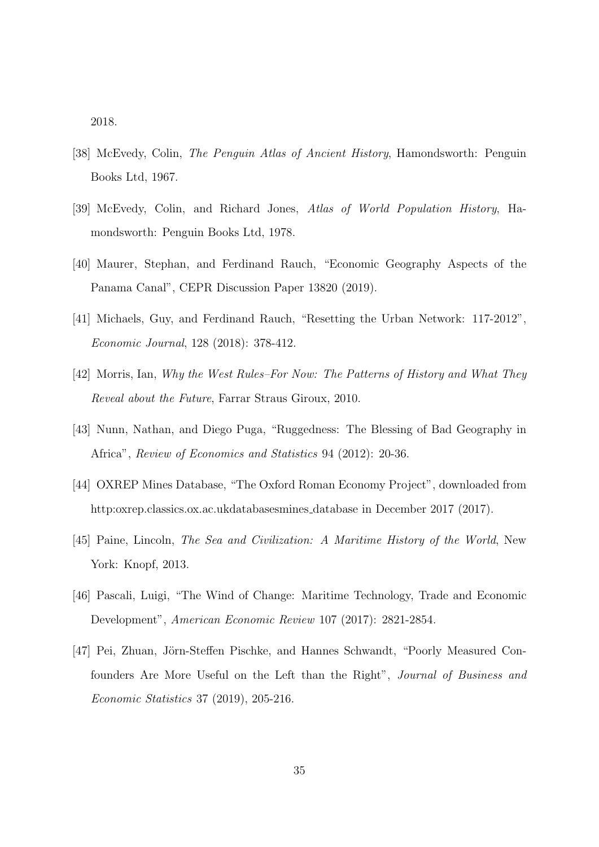2018.

- [38] McEvedy, Colin, The Penguin Atlas of Ancient History, Hamondsworth: Penguin Books Ltd, 1967.
- [39] McEvedy, Colin, and Richard Jones, Atlas of World Population History, Hamondsworth: Penguin Books Ltd, 1978.
- [40] Maurer, Stephan, and Ferdinand Rauch, "Economic Geography Aspects of the Panama Canal", CEPR Discussion Paper 13820 (2019).
- [41] Michaels, Guy, and Ferdinand Rauch, "Resetting the Urban Network: 117-2012", Economic Journal, 128 (2018): 378-412.
- [42] Morris, Ian, Why the West Rules–For Now: The Patterns of History and What They Reveal about the Future, Farrar Straus Giroux, 2010.
- [43] Nunn, Nathan, and Diego Puga, "Ruggedness: The Blessing of Bad Geography in Africa", Review of Economics and Statistics 94 (2012): 20-36.
- [44] OXREP Mines Database, "The Oxford Roman Economy Project", downloaded from http:oxrep.classics.ox.ac.ukdatabasesmines database in December 2017 (2017).
- [45] Paine, Lincoln, The Sea and Civilization: A Maritime History of the World, New York: Knopf, 2013.
- [46] Pascali, Luigi, "The Wind of Change: Maritime Technology, Trade and Economic Development", American Economic Review 107 (2017): 2821-2854.
- [47] Pei, Zhuan, Jörn-Steffen Pischke, and Hannes Schwandt, "Poorly Measured Confounders Are More Useful on the Left than the Right", Journal of Business and Economic Statistics 37 (2019), 205-216.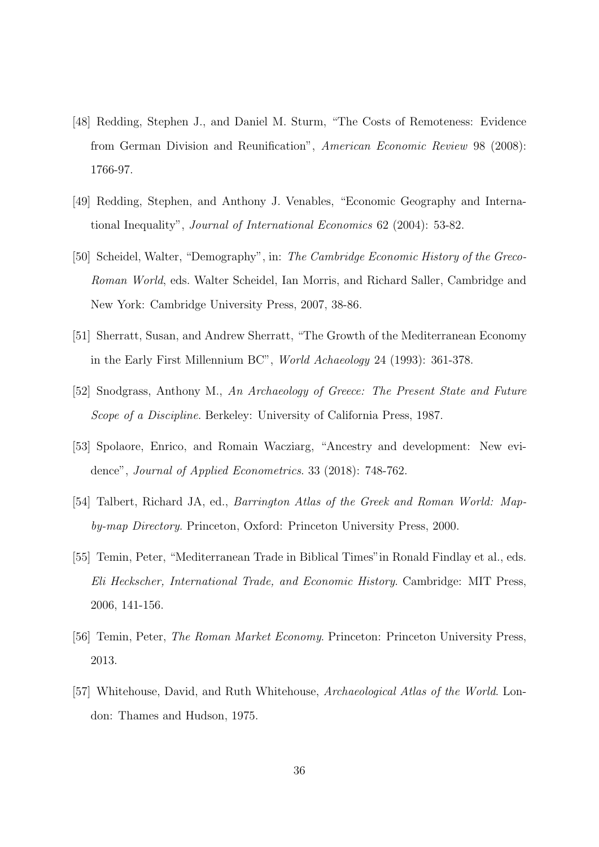- [48] Redding, Stephen J., and Daniel M. Sturm, "The Costs of Remoteness: Evidence from German Division and Reunification", American Economic Review 98 (2008): 1766-97.
- [49] Redding, Stephen, and Anthony J. Venables, "Economic Geography and International Inequality", Journal of International Economics 62 (2004): 53-82.
- [50] Scheidel, Walter, "Demography", in: The Cambridge Economic History of the Greco-Roman World, eds. Walter Scheidel, Ian Morris, and Richard Saller, Cambridge and New York: Cambridge University Press, 2007, 38-86.
- [51] Sherratt, Susan, and Andrew Sherratt, "The Growth of the Mediterranean Economy in the Early First Millennium BC", World Achaeology 24 (1993): 361-378.
- [52] Snodgrass, Anthony M., An Archaeology of Greece: The Present State and Future Scope of a Discipline. Berkeley: University of California Press, 1987.
- [53] Spolaore, Enrico, and Romain Wacziarg, "Ancestry and development: New evidence", Journal of Applied Econometrics. 33 (2018): 748-762.
- [54] Talbert, Richard JA, ed., Barrington Atlas of the Greek and Roman World: Mapby-map Directory. Princeton, Oxford: Princeton University Press, 2000.
- [55] Temin, Peter, "Mediterranean Trade in Biblical Times"in Ronald Findlay et al., eds. Eli Heckscher, International Trade, and Economic History. Cambridge: MIT Press, 2006, 141-156.
- [56] Temin, Peter, The Roman Market Economy. Princeton: Princeton University Press, 2013.
- [57] Whitehouse, David, and Ruth Whitehouse, Archaeological Atlas of the World. London: Thames and Hudson, 1975.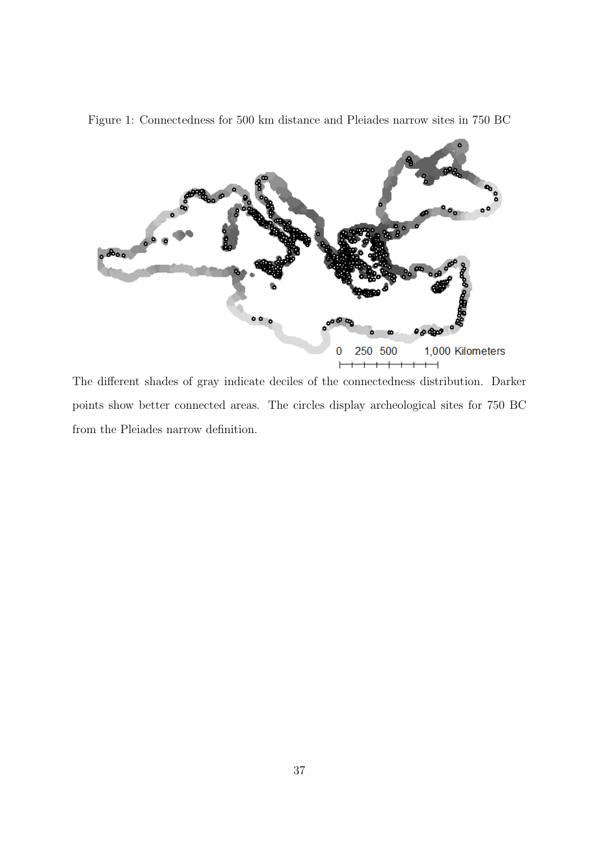

<span id="page-36-0"></span>Figure 1: Connectedness for 500 km distance and Pleiades narrow sites in 750 BC

The different shades of gray indicate deciles of the connectedness distribution. Darker points show better connected areas. The circles display archeological sites for 750 BC from the Pleiades narrow definition.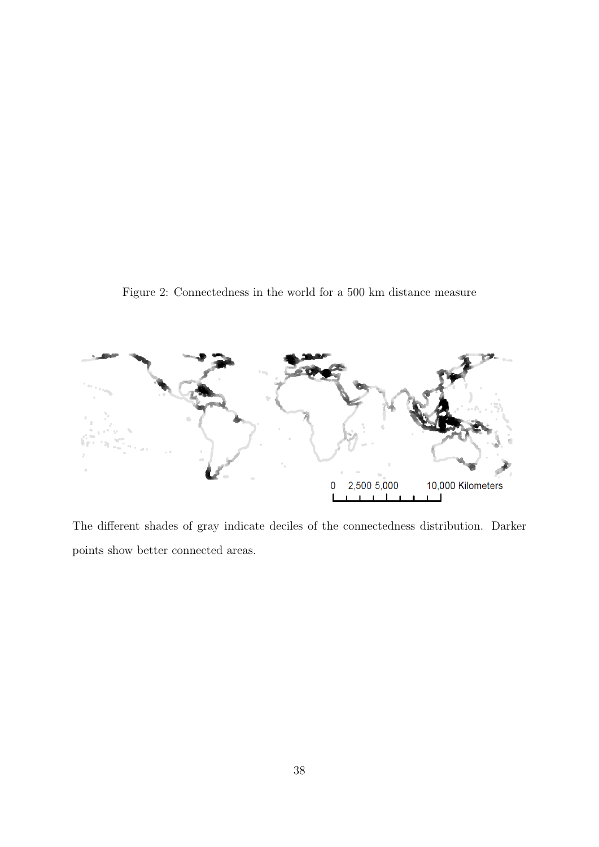<span id="page-37-0"></span>Figure 2: Connectedness in the world for a 500 km distance measure



The different shades of gray indicate deciles of the connectedness distribution. Darker points show better connected areas.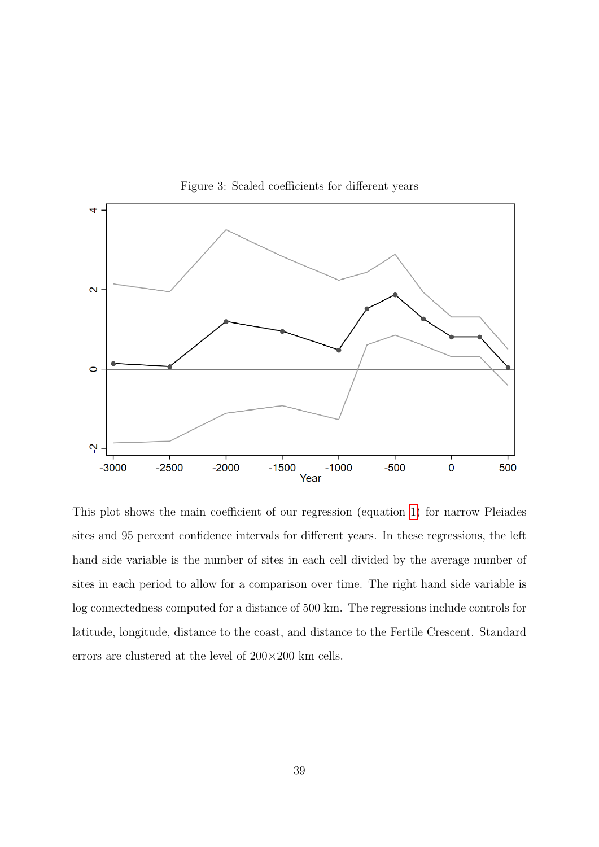<span id="page-38-0"></span>

Figure 3: Scaled coefficients for different years

This plot shows the main coefficient of our regression (equation [1\)](#page-18-1) for narrow Pleiades sites and 95 percent confidence intervals for different years. In these regressions, the left hand side variable is the number of sites in each cell divided by the average number of sites in each period to allow for a comparison over time. The right hand side variable is log connectedness computed for a distance of 500 km. The regressions include controls for latitude, longitude, distance to the coast, and distance to the Fertile Crescent. Standard errors are clustered at the level of 200×200 km cells.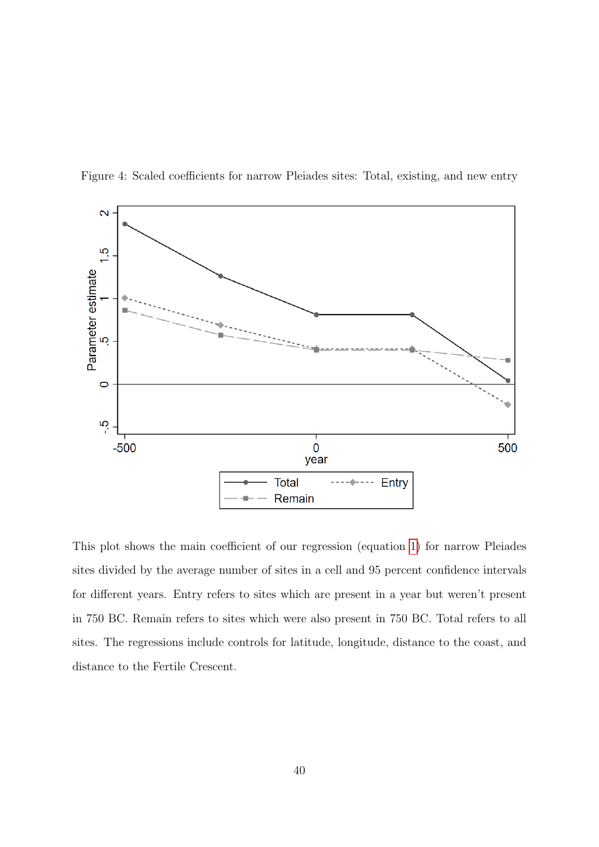

<span id="page-39-0"></span>Figure 4: Scaled coefficients for narrow Pleiades sites: Total, existing, and new entry

This plot shows the main coefficient of our regression (equation [1\)](#page-18-1) for narrow Pleiades sites divided by the average number of sites in a cell and 95 percent confidence intervals for different years. Entry refers to sites which are present in a year but weren't present in 750 BC. Remain refers to sites which were also present in 750 BC. Total refers to all sites. The regressions include controls for latitude, longitude, distance to the coast, and distance to the Fertile Crescent.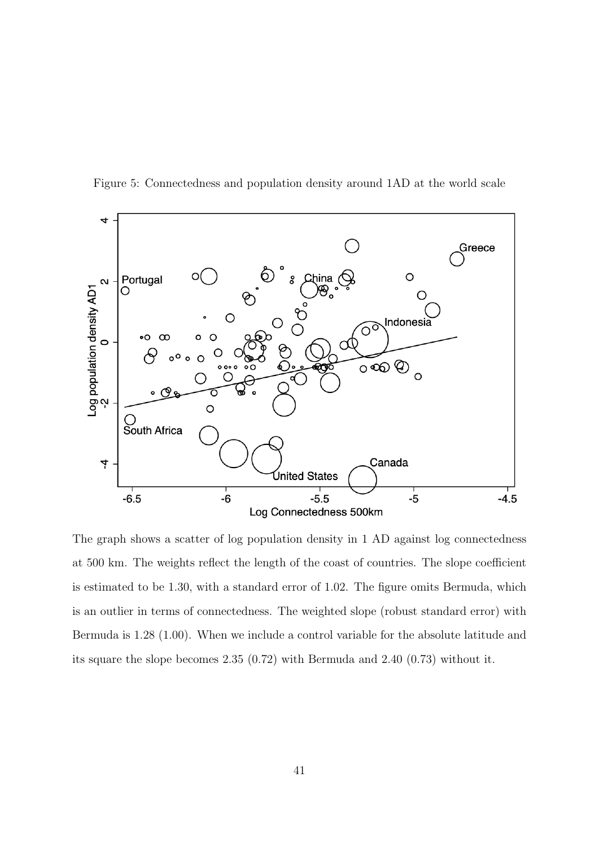

<span id="page-40-0"></span>Figure 5: Connectedness and population density around 1AD at the world scale

The graph shows a scatter of log population density in 1 AD against log connectedness at 500 km. The weights reflect the length of the coast of countries. The slope coefficient is estimated to be 1.30, with a standard error of 1.02. The figure omits Bermuda, which is an outlier in terms of connectedness. The weighted slope (robust standard error) with Bermuda is 1.28 (1.00). When we include a control variable for the absolute latitude and its square the slope becomes 2.35 (0.72) with Bermuda and 2.40 (0.73) without it.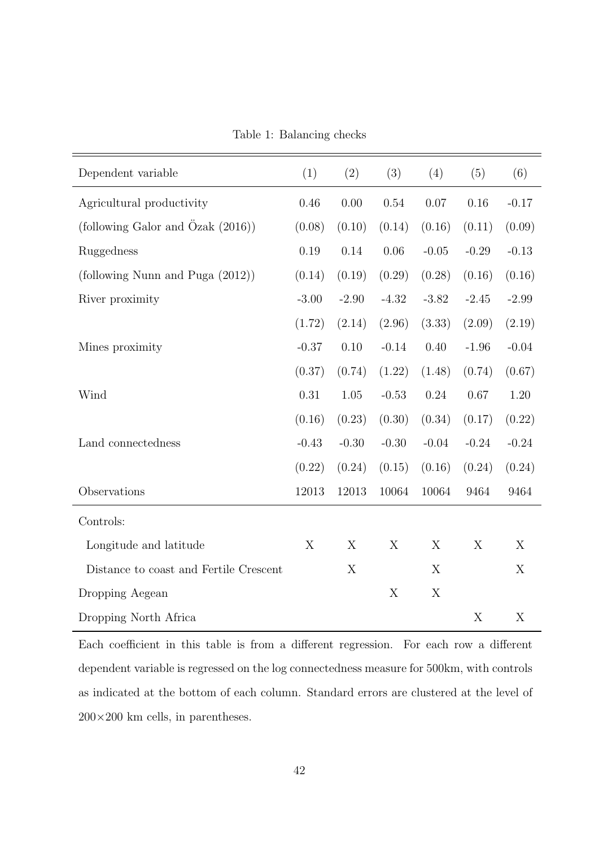| Table 1: Balancing checks |  |
|---------------------------|--|
|---------------------------|--|

<span id="page-41-0"></span>

| Dependent variable                              | (1)     | (2)      | (3)      | (4)      | (5)     | (6)     |
|-------------------------------------------------|---------|----------|----------|----------|---------|---------|
| Agricultural productivity                       | 0.46    | 0.00     | 0.54     | 0.07     | 0.16    | $-0.17$ |
| (following Galor and $\tilde{O}$ zak $(2016)$ ) | (0.08)  | (0.10)   | (0.14)   | (0.16)   | (0.11)  | (0.09)  |
| Ruggedness                                      | 0.19    | 0.14     | $0.06\,$ | $-0.05$  | $-0.29$ | $-0.13$ |
| (following Nunn and Puga (2012))                | (0.14)  | (0.19)   | (0.29)   | (0.28)   | (0.16)  | (0.16)  |
| River proximity                                 | $-3.00$ | $-2.90$  | $-4.32$  | $-3.82$  | $-2.45$ | $-2.99$ |
|                                                 | (1.72)  | (2.14)   | (2.96)   | (3.33)   | (2.09)  | (2.19)  |
| Mines proximity                                 | $-0.37$ | 0.10     | $-0.14$  | 0.40     | $-1.96$ | $-0.04$ |
|                                                 | (0.37)  | (0.74)   | (1.22)   | (1.48)   | (0.74)  | (0.67)  |
| Wind                                            | 0.31    | $1.05\,$ | $-0.53$  | $0.24\,$ | 0.67    | 1.20    |
|                                                 | (0.16)  | (0.23)   | (0.30)   | (0.34)   | (0.17)  | (0.22)  |
| Land connectedness                              | $-0.43$ | $-0.30$  | $-0.30$  | $-0.04$  | $-0.24$ | $-0.24$ |
|                                                 | (0.22)  | (0.24)   | (0.15)   | (0.16)   | (0.24)  | (0.24)  |
| Observations                                    | 12013   | 12013    | 10064    | 10064    | 9464    | 9464    |
| Controls:                                       |         |          |          |          |         |         |
| Longitude and latitude                          | X       | X        | X        | X        | X       | X       |
| Distance to coast and Fertile Crescent          |         | X        |          | X        |         | X       |
| Dropping Aegean                                 |         |          | X        | X        |         |         |
| Dropping North Africa                           |         |          |          |          | X       | X       |

Each coefficient in this table is from a different regression. For each row a different dependent variable is regressed on the log connectedness measure for 500km, with controls as indicated at the bottom of each column. Standard errors are clustered at the level of  $200\times200$  km cells, in parentheses.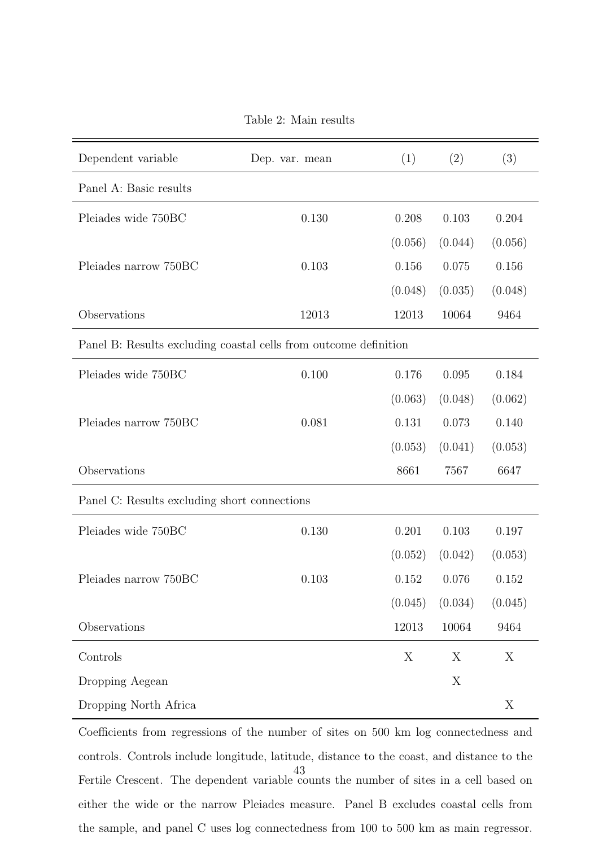Table 2: Main results

<span id="page-42-0"></span>

| Dependent variable                                               | Dep. var. mean | (1)     | (2)     | (3)     |  |
|------------------------------------------------------------------|----------------|---------|---------|---------|--|
| Panel A: Basic results                                           |                |         |         |         |  |
| Pleiades wide 750BC                                              | 0.130          | 0.208   | 0.103   | 0.204   |  |
|                                                                  |                | (0.056) | (0.044) | (0.056) |  |
| Pleiades narrow 750BC                                            | 0.103          | 0.156   | 0.075   | 0.156   |  |
|                                                                  |                | (0.048) | (0.035) | (0.048) |  |
| Observations                                                     | 12013          | 12013   | 10064   | 9464    |  |
| Panel B: Results excluding coastal cells from outcome definition |                |         |         |         |  |
| Pleiades wide 750BC                                              | 0.100          | 0.176   | 0.095   | 0.184   |  |
|                                                                  |                | (0.063) | (0.048) | (0.062) |  |
| Pleiades narrow 750BC                                            | 0.081          | 0.131   | 0.073   | 0.140   |  |
|                                                                  |                | (0.053) | (0.041) | (0.053) |  |
| Observations                                                     |                | 8661    | 7567    | 6647    |  |
| Panel C: Results excluding short connections                     |                |         |         |         |  |
| Pleiades wide 750BC                                              | 0.130          | 0.201   | 0.103   | 0.197   |  |
|                                                                  |                | (0.052) | (0.042) | (0.053) |  |
| Pleiades narrow 750BC                                            | 0.103          | 0.152   | 0.076   | 0.152   |  |
|                                                                  |                | (0.045) | (0.034) | (0.045) |  |
| Observations                                                     |                | 12013   | 10064   | 9464    |  |
| Controls                                                         |                | X       | X       | X       |  |
| Dropping Aegean                                                  |                |         | X       |         |  |
| Dropping North Africa                                            |                |         |         | X       |  |

Coefficients from regressions of the number of sites on 500 km log connectedness and controls. Controls include longitude, latitude, distance to the coast, and distance to the Fertile Crescent. The dependent variable counts the number of sites in a cell based on either the wide or the narrow Pleiades measure. Panel B excludes coastal cells from the sample, and panel C uses log connectedness from 100 to 500 km as main regressor. 43